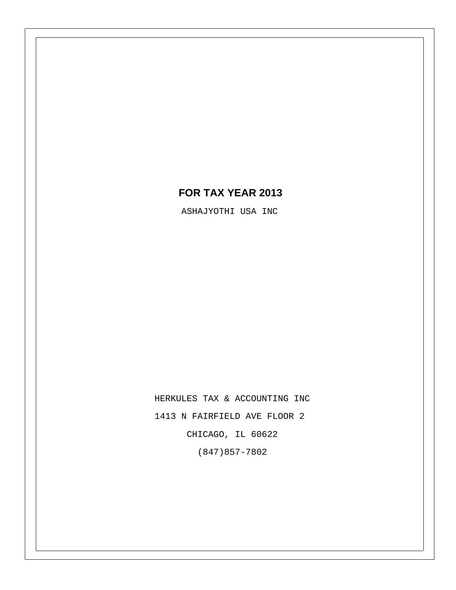# **FOR TAX YEAR 2013**

ASHAJYOTHI USA INC

HERKULES TAX & ACCOUNTING INC 1413 N FAIRFIELD AVE FLOOR 2 CHICAGO, IL 60622 (847)857-7802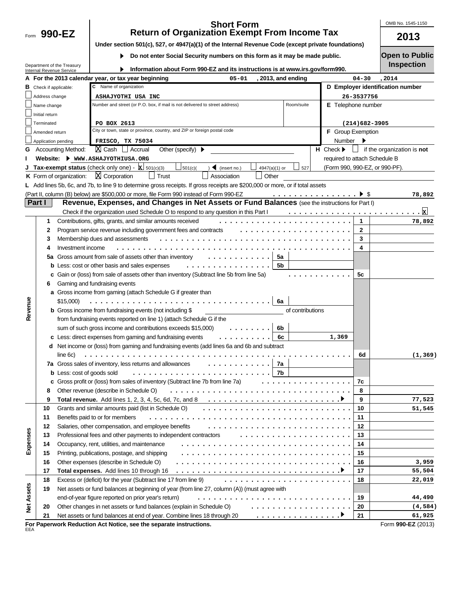Form  $990 - EZ$ 

#### **990-EZ 2013 Short Form Return of Organization Exempt From Income Tax**

OMB No. 1545-1150

| Under section 501(c), 527, or 4947(a)(1) of the Internal Revenue Code (except private foundations) |  |
|----------------------------------------------------------------------------------------------------|--|
|                                                                                                    |  |

**Do not enter Social Security numbers on this form as it may be made public.** 

**Open to Public**

|                   |                               | Department of the Treasury        | Information about Form 990-EZ and its instructions is at www.irs.gov/form990.                                                        |                                 |                   | <b>Inspection</b>                |
|-------------------|-------------------------------|-----------------------------------|--------------------------------------------------------------------------------------------------------------------------------------|---------------------------------|-------------------|----------------------------------|
|                   |                               | <b>Internal Revenue Service</b>   | A For the 2013 calendar year, or tax year beginning<br>$05 - 01$<br>, 2013, and ending                                               |                                 | $04 - 30$         | , 2014                           |
|                   | <b>B</b> Check if applicable: |                                   | Name of organization<br>c                                                                                                            |                                 |                   | D Employer identification number |
|                   | Address change                |                                   | ASHAJYOTHI USA INC                                                                                                                   |                                 | 26-3537756        |                                  |
|                   | Name change                   |                                   | Room/suite<br>Number and street (or P.O. box, if mail is not delivered to street address)                                            | E Telephone number              |                   |                                  |
|                   | Initial return                |                                   |                                                                                                                                      |                                 |                   |                                  |
|                   | Terminated                    |                                   | PO BOX 2613                                                                                                                          |                                 | $(214)682 - 3905$ |                                  |
|                   | Amended return                |                                   | City or town, state or province, country, and ZIP or foreign postal code                                                             | F Group Exemption               |                   |                                  |
|                   | Application pending           |                                   | FRISCO, TX 75034                                                                                                                     | Number                          |                   |                                  |
| G                 |                               | <b>Accounting Method:</b>         | $[X]$ Cash $\Box$ Accrual<br>Other (specify) $\blacktriangleright$                                                                   | $H$ Check $\blacktriangleright$ | $\Box$            | if the organization is not       |
|                   |                               |                                   | Website: WWW.ASHAJYOTHIUSA.ORG                                                                                                       | required to attach Schedule B   |                   |                                  |
|                   |                               |                                   | <b>Tax-exempt status</b> (check only one) - $\mathbf{x}$ 501(c)(3)<br>501(c)<br>$\triangleleft$ (insert no.)<br>527<br>4947(a)(1) or | (Form 990, 990-EZ, or 990-PF).  |                   |                                  |
|                   |                               | K Form of organization:           | $X$ Corporation<br>Trust<br>Association<br>Other                                                                                     |                                 |                   |                                  |
| L                 |                               |                                   | Add lines 5b, 6c, and 7b, to line 9 to determine gross receipts. If gross receipts are \$200,000 or more, or if total assets         |                                 |                   |                                  |
|                   |                               |                                   | (Part II, column (B) below) are \$500,000 or more, file Form 990 instead of Form 990-EZ<br>. <b>&gt;</b> \$                          |                                 |                   | 78,892                           |
|                   | Part I                        |                                   | Revenue, Expenses, and Changes in Net Assets or Fund Balances (see the instructions for Part I)                                      |                                 |                   |                                  |
|                   |                               |                                   | Check if the organization used Schedule O to respond to any question in this Part I                                                  |                                 |                   | ⊠                                |
|                   | 1                             |                                   | Contributions, gifts, grants, and similar amounts received                                                                           |                                 | 1                 | 78,892                           |
|                   | 2                             |                                   | Program service revenue including government fees and contracts<br>.                                                                 |                                 | 2                 |                                  |
|                   | 3                             |                                   | Membership dues and assessments<br>.                                                                                                 |                                 | 3                 |                                  |
|                   | 4                             | Investment income                 |                                                                                                                                      |                                 | 4                 |                                  |
|                   | 5a                            |                                   | Gross amount from sale of assets other than inventory<br>5a                                                                          |                                 |                   |                                  |
|                   |                               |                                   | 5b<br><b>b</b> Less: cost or other basis and sales expenses                                                                          |                                 |                   |                                  |
|                   | c                             |                                   | Gain or (loss) from sale of assets other than inventory (Subtract line 5b from line 5a)                                              |                                 | 5c                |                                  |
|                   | 6                             |                                   | Gaming and fundraising events                                                                                                        |                                 |                   |                                  |
|                   |                               |                                   | a Gross income from gaming (attach Schedule G if greater than                                                                        |                                 |                   |                                  |
|                   |                               | \$15,000                          | 6a                                                                                                                                   |                                 |                   |                                  |
| Revenue           |                               |                                   | <b>b</b> Gross income from fundraising events (not including \$<br>of contributions                                                  |                                 |                   |                                  |
|                   |                               |                                   | from fundraising events reported on line 1) (attach Schedule G if the                                                                |                                 |                   |                                  |
|                   |                               |                                   | sum of such gross income and contributions exceeds \$15,000)<br>6b                                                                   |                                 |                   |                                  |
|                   |                               |                                   | 6c<br>c Less: direct expenses from gaming and fundraising events                                                                     | 1,369                           |                   |                                  |
|                   |                               |                                   | d Net income or (loss) from gaming and fundraising events (add lines 6a and 6b and subtract                                          |                                 |                   |                                  |
|                   |                               | line 6c)                          |                                                                                                                                      |                                 | 6d                | (1, 369)                         |
|                   |                               |                                   | 7a Gross sales of inventory, less returns and allowances<br>7a                                                                       |                                 |                   |                                  |
|                   |                               | <b>b</b> Less: cost of goods sold | 7b                                                                                                                                   |                                 |                   |                                  |
|                   |                               |                                   | c Gross profit or (loss) from sales of inventory (Subtract line 7b from line 7a)                                                     |                                 | 7c                |                                  |
|                   | 8                             |                                   | Other revenue (describe in Schedule O)                                                                                               |                                 | 8                 |                                  |
|                   | 9                             |                                   | Total revenue. Add lines 1, 2, 3, 4, 5c, 6d, 7c, and 8                                                                               |                                 | 9                 | 77,523                           |
|                   | 10                            |                                   | Grants and similar amounts paid (list in Schedule O)                                                                                 |                                 | 10                | 51,545                           |
|                   | 11                            |                                   | Benefits paid to or for members                                                                                                      |                                 | 11                |                                  |
|                   | 12                            |                                   | Salaries, other compensation, and employee benefits                                                                                  |                                 | 12                |                                  |
|                   | 13                            |                                   | Professional fees and other payments to independent contractors                                                                      |                                 | 13                |                                  |
| Expenses          | 14                            |                                   | Occupancy, rent, utilities, and maintenance                                                                                          |                                 | 14                |                                  |
|                   | 15                            |                                   | Printing, publications, postage, and shipping                                                                                        |                                 | 15                |                                  |
|                   | 16                            |                                   | Other expenses (describe in Schedule O)                                                                                              |                                 | 16                | 3,959                            |
|                   | 17                            |                                   |                                                                                                                                      |                                 | 17                | 55,504                           |
|                   | 18                            |                                   | Excess or (deficit) for the year (Subtract line 17 from line 9)                                                                      |                                 | 18                | 22,019                           |
|                   | 19                            |                                   | Net assets or fund balances at beginning of year (from line 27, column (A)) (must agree with                                         |                                 |                   |                                  |
|                   |                               |                                   | end-of-year figure reported on prior year's return)                                                                                  |                                 | 19                | 44,490                           |
| <b>Net Assets</b> | 20                            |                                   | Other changes in net assets or fund balances (explain in Schedule O)<br>.                                                            |                                 | 20                | (4, 584)                         |
|                   | 21                            |                                   | Net assets or fund balances at end of year. Combine lines 18 through 20<br>. <b>. 7</b>                                              |                                 | 21                | 61,925                           |
|                   |                               |                                   | For Paperwork Reduction Act Notice, see the separate instructions.                                                                   |                                 |                   | Form 990-EZ (2013)               |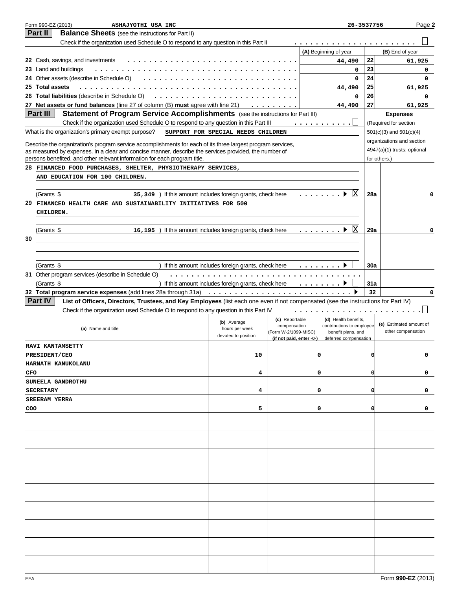| Part II<br><b>Balance Sheets</b> (see the instructions for Part II)<br>Check if the organization used Schedule O to respond to any question in this Part II<br>(A) Beginning of year |     |                             |
|--------------------------------------------------------------------------------------------------------------------------------------------------------------------------------------|-----|-----------------------------|
|                                                                                                                                                                                      |     |                             |
|                                                                                                                                                                                      |     |                             |
|                                                                                                                                                                                      |     | (B) End of year             |
| 22 Cash, savings, and investments<br>44,490                                                                                                                                          | 22  | 61,925                      |
| 23 Land and buildings<br>0                                                                                                                                                           | 23  | 0                           |
| 24 Other assets (describe in Schedule O)<br>$\mathbf 0$                                                                                                                              | 24  | 0                           |
| 25 Total assets<br>44,490                                                                                                                                                            | 25  | 61,925                      |
| 26 Total liabilities (describe in Schedule O)<br>0                                                                                                                                   | 26  | 0                           |
| 27 Net assets or fund balances (line 27 of column (B) must agree with line 21)<br>$\cdots$<br>44,490                                                                                 | 27  | 61,925                      |
| Statement of Program Service Accomplishments (see the instructions for Part III)<br>Part III                                                                                         |     | <b>Expenses</b>             |
| Check if the organization used Schedule O to respond to any question in this Part III<br>.                                                                                           |     | (Required for section       |
| What is the organization's primary exempt purpose?<br>SUPPORT FOR SPECIAL NEEDS CHILDREN                                                                                             |     | $501(c)(3)$ and $501(c)(4)$ |
| Describe the organization's program service accomplishments for each of its three largest program services,                                                                          |     | organizations and section   |
| as measured by expenses. In a clear and concise manner, describe the services provided, the number of                                                                                |     | 4947(a)(1) trusts; optional |
| persons benefited, and other relevant information for each program title.                                                                                                            |     | for others.)                |
| 28 FINANCED FOOD PURCHASES, SHELTER, PHYSIOTHERAPY SERVICES,                                                                                                                         |     |                             |
| AND EDUCATION FOR 100 CHILDREN.                                                                                                                                                      |     |                             |
|                                                                                                                                                                                      |     |                             |
| ΙX<br>(Grants \$<br>35, 349 ) If this amount includes foreign grants, check here                                                                                                     | 28a | 0                           |
| 29<br>FINANCED HEALTH CARE AND SUSTAINABILITY INITIATIVES FOR 500                                                                                                                    |     |                             |
| CHILDREN.                                                                                                                                                                            |     |                             |
|                                                                                                                                                                                      |     |                             |
| ΙX<br>(Grants \$<br>16, 195) If this amount includes foreign grants, check here<br>.                                                                                                 | 29a | 0                           |
| 30                                                                                                                                                                                   |     |                             |
|                                                                                                                                                                                      |     |                             |
|                                                                                                                                                                                      |     |                             |
| (Grants \$<br>If this amount includes foreign grants, check here $\dots \dots$                                                                                                       | 30a |                             |
| 31 Other program services (describe in Schedule O)                                                                                                                                   |     |                             |
| (Grants \$<br>If this amount includes foreign grants, check here $\dots \dots$                                                                                                       | 31a |                             |
|                                                                                                                                                                                      |     |                             |
|                                                                                                                                                                                      | 32  | $\Omega$                    |
| Part IV<br>List of Officers, Directors, Trustees, and Key Employees (list each one even if not compensated (see the instructions for Part IV)                                        |     |                             |
| Check if the organization used Schedule O to respond to any question in this Part IV                                                                                                 |     |                             |
| (c) Reportable<br>(d) Health benefits,                                                                                                                                               |     |                             |
| (b) Average<br>contributions to employee<br>compensation<br>(a) Name and title<br>hours per week                                                                                     |     | (e) Estimated amount of     |
| (Form W-2/1099-MISC)<br>benefit plans, and<br>devoted to position                                                                                                                    |     | other compensation          |
| (if not paid, enter -0-)<br>deferred compensation<br><b>RAVI KANTAMSETTY</b>                                                                                                         |     |                             |
| 10<br>n                                                                                                                                                                              | 0   | 0                           |
| PRESIDENT/CEO<br>HARNATH KANUKOLANU                                                                                                                                                  |     |                             |
| CFO<br>4<br>O                                                                                                                                                                        | o   | 0                           |
| SUNEELA GANDROTHU                                                                                                                                                                    |     |                             |
| o                                                                                                                                                                                    | o   | 0                           |
| 4<br><b>SECRETARY</b>                                                                                                                                                                |     |                             |
| <b>SREERAM YERRA</b><br>o                                                                                                                                                            |     |                             |
| 5<br>COO                                                                                                                                                                             | 0   | 0                           |
|                                                                                                                                                                                      |     |                             |
|                                                                                                                                                                                      |     |                             |
|                                                                                                                                                                                      |     |                             |
|                                                                                                                                                                                      |     |                             |
|                                                                                                                                                                                      |     |                             |
|                                                                                                                                                                                      |     |                             |
|                                                                                                                                                                                      |     |                             |
|                                                                                                                                                                                      |     |                             |
|                                                                                                                                                                                      |     |                             |
|                                                                                                                                                                                      |     |                             |
|                                                                                                                                                                                      |     |                             |
|                                                                                                                                                                                      |     |                             |
|                                                                                                                                                                                      |     |                             |
|                                                                                                                                                                                      |     |                             |
|                                                                                                                                                                                      |     |                             |
|                                                                                                                                                                                      |     |                             |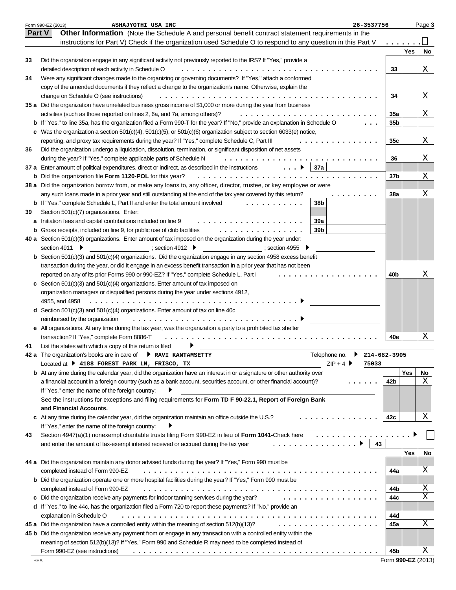|    | 26-3537756<br>Form 990-EZ (2013)<br>ASHAJYOTHI USA INC                                                                         |                 |            | Page 3 |
|----|--------------------------------------------------------------------------------------------------------------------------------|-----------------|------------|--------|
|    | Other Information (Note the Schedule A and personal benefit contract statement requirements in the<br><b>Part V</b>            |                 |            |        |
|    | instructions for Part V) Check if the organization used Schedule O to respond to any question in this Part V                   |                 |            |        |
|    |                                                                                                                                |                 | <b>Yes</b> | No     |
| 33 | Did the organization engage in any significant activity not previously reported to the IRS? If "Yes," provide a                |                 |            |        |
|    | detailed description of each activity in Schedule O                                                                            | 33              |            | Χ      |
| 34 | Were any significant changes made to the organizing or governing documents? If "Yes," attach a conformed                       |                 |            |        |
|    | copy of the amended documents if they reflect a change to the organization's name. Otherwise, explain the                      |                 |            |        |
|    | change on Schedule O (see instructions)                                                                                        | 34              |            | Χ      |
|    | 35 a Did the organization have unrelated business gross income of \$1,000 or more during the year from business                |                 |            |        |
|    | activities (such as those reported on lines 2, 6a, and 7a, among others)?                                                      | 35а             |            | Χ      |
|    | b If "Yes," to line 35a, has the organization filed a Form 990-T for the year? If "No," provide an explanation in Schedule O   | 35 <sub>b</sub> |            |        |
|    |                                                                                                                                |                 |            |        |
|    | c Was the organization a section $501(c)(4)$ , $501(c)(5)$ , or $501(c)(6)$ organization subject to section $6033(e)$ notice,  |                 |            |        |
|    | reporting, and proxy tax requirements during the year? If "Yes," complete Schedule C, Part III                                 | 35c             |            | Χ      |
| 36 | Did the organization undergo a liquidation, dissolution, termination, or significant disposition of net assets                 |                 |            |        |
|    | during the year? If "Yes," complete applicable parts of Schedule N<br>.                                                        | 36              |            | X.     |
|    | 37a<br>37 a Enter amount of political expenditures, direct or indirect, as described in the instructions $\ldots$ .            |                 |            |        |
|    | <b>b</b> Did the organization file Form 1120-POL for this year?<br>.                                                           | 37 <sub>b</sub> |            | Χ      |
|    | 38 a Did the organization borrow from, or make any loans to, any officer, director, trustee, or key employee or were           |                 |            |        |
|    | any such loans made in a prior year and still outstanding at the end of the tax year covered by this return?                   | <b>38a</b>      |            | Χ      |
|    | 38b<br><b>b</b> If "Yes," complete Schedule L, Part II and enter the total amount involved                                     |                 |            |        |
| 39 | Section 501(c)(7) organizations. Enter:                                                                                        |                 |            |        |
|    | a Initiation fees and capital contributions included on line 9<br><b>39a</b>                                                   |                 |            |        |
|    | 39 <sub>b</sub><br><b>b</b> Gross receipts, included on line 9, for public use of club facilities<br>.                         |                 |            |        |
|    | 40 a Section 501(c)(3) organizations. Enter amount of tax imposed on the organization during the year under:                   |                 |            |        |
|    | section 4911 ▶<br>; section 4912 $\blacktriangleright$<br>$\sim$ ; section 4955                                                |                 |            |        |
|    | <b>b</b> Section $501(c)(3)$ and $501(c)(4)$ organizations. Did the organization engage in any section 4958 excess benefit     |                 |            |        |
|    | transaction during the year, or did it engage in an excess benefit transaction in a prior year that has not been               |                 |            |        |
|    | reported on any of its prior Forms 990 or 990-EZ? If "Yes," complete Schedule L, Part I                                        | 40b             |            | Χ      |
|    | c Section 501(c)(3) and 501(c)(4) organizations. Enter amount of tax imposed on                                                |                 |            |        |
|    | organization managers or disqualified persons during the year under sections 4912,                                             |                 |            |        |
|    | 4955, and 4958                                                                                                                 |                 |            |        |
|    | <b>d</b> Section 501(c)(3) and 501(c)(4) organizations. Enter amount of tax on line 40c                                        |                 |            |        |
|    | reimbursed by the organization<br>.                                                                                            |                 |            |        |
|    | e All organizations. At any time during the tax year, was the organization a party to a prohibited tax shelter                 |                 |            |        |
|    | transaction? If "Yes," complete Form 8886-T                                                                                    | 40e             |            | Χ      |
|    |                                                                                                                                |                 |            |        |
| 41 | List the states with which a copy of this return is filed                                                                      |                 |            |        |
|    | Telephone no.<br>42 a The organization's books are in care of ▶ RAVI KANTAMSETTY<br>214-682-3905                               |                 |            |        |
|    | $ZIP + 4$ ▶<br>Located at $\blacktriangleright$ 4188 FOREST PARK LN, FRISCO, TX<br>75033                                       |                 |            |        |
|    | <b>b</b> At any time during the calendar year, did the organization have an interest in or a signature or other authority over |                 | Yes        | No     |
|    | a financial account in a foreign country (such as a bank account, securities account, or other financial account)?             | 42b             |            | Χ      |
|    | If "Yes," enter the name of the foreign country:                                                                               |                 |            |        |
|    | See the instructions for exceptions and filing requirements for Form TD F 90-22.1, Report of Foreign Bank                      |                 |            |        |
|    | and Financial Accounts.                                                                                                        |                 |            |        |
|    | c At any time during the calendar year, did the organization maintain an office outside the U.S.?<br>.                         | 42c             |            | Χ      |
|    | If "Yes," enter the name of the foreign country:                                                                               |                 |            |        |
| 43 | Section 4947(a)(1) nonexempt charitable trusts filing Form 990-EZ in lieu of Form 1041-Check here                              |                 |            |        |
|    | .<br>and enter the amount of tax-exempt interest received or accrued during the tax year<br>43                                 |                 |            |        |
|    |                                                                                                                                |                 | Yes        | No     |
|    | 44 a Did the organization maintain any donor advised funds during the year? If "Yes," Form 990 must be                         |                 |            |        |
|    | completed instead of Form 990-EZ                                                                                               | 44a             |            | Χ      |
|    | <b>b</b> Did the organization operate one or more hospital facilities during the year? If "Yes," Form 990 must be              |                 |            |        |
|    | completed instead of Form 990-EZ                                                                                               | 44b             |            | Χ      |
|    | c Did the organization receive any payments for indoor tanning services during the year?<br>.                                  | 44c             |            | Χ      |
|    | d If "Yes," to line 44c, has the organization filed a Form 720 to report these payments? If "No," provide an                   |                 |            |        |
|    | explanation in Schedule O                                                                                                      |                 |            |        |
|    |                                                                                                                                | 44d             |            | Χ      |
|    | 45 a Did the organization have a controlled entity within the meaning of section 512(b)(13)?<br>.                              | 45a             |            |        |
|    | 45 b Did the organization receive any payment from or engage in any transaction with a controlled entity within the            |                 |            |        |
|    | meaning of section 512(b)(13)? If "Yes," Form 990 and Schedule R may need to be completed instead of                           |                 |            |        |
|    | Form 990-EZ (see instructions)                                                                                                 | 45b             |            | Χ      |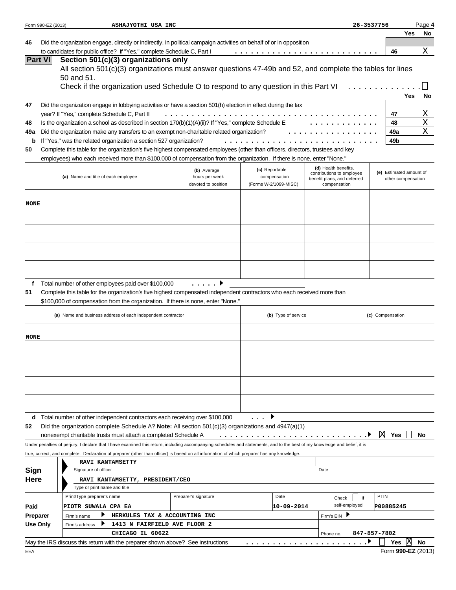|                 | Form 990-EZ (2013) | ASHAJYOTHI USA INC                                                                                                                                                             |                                  |                                |                      | 26-3537756                                  |                         |                    | Page 4      |
|-----------------|--------------------|--------------------------------------------------------------------------------------------------------------------------------------------------------------------------------|----------------------------------|--------------------------------|----------------------|---------------------------------------------|-------------------------|--------------------|-------------|
|                 |                    |                                                                                                                                                                                |                                  |                                |                      |                                             |                         | Yes                | No          |
| 46              |                    | Did the organization engage, directly or indirectly, in political campaign activities on behalf of or in opposition                                                            |                                  |                                |                      |                                             |                         |                    |             |
|                 | <b>Part VI</b>     | to candidates for public office? If "Yes," complete Schedule C, Part I<br>Section 501(c)(3) organizations only                                                                 |                                  |                                |                      |                                             | 46                      |                    | Χ           |
|                 |                    | All section 501(c)(3) organizations must answer questions 47-49b and 52, and complete the tables for lines                                                                     |                                  |                                |                      |                                             |                         |                    |             |
|                 |                    | 50 and 51.                                                                                                                                                                     |                                  |                                |                      |                                             |                         |                    |             |
|                 |                    | Check if the organization used Schedule O to respond to any question in this Part VI                                                                                           |                                  |                                |                      |                                             |                         |                    |             |
|                 |                    |                                                                                                                                                                                |                                  |                                |                      |                                             |                         | <b>Yes</b>         | No          |
| 47              |                    | Did the organization engage in lobbying activities or have a section 501(h) election in effect during the tax                                                                  |                                  |                                |                      |                                             |                         |                    |             |
|                 |                    | year? If "Yes," complete Schedule C, Part II                                                                                                                                   | .                                |                                |                      |                                             | 47                      |                    | Χ           |
| 48              |                    | Is the organization a school as described in section 170(b)(1)(A)(ii)? If "Yes," complete Schedule E                                                                           |                                  |                                |                      |                                             | 48                      |                    | $\mathbf X$ |
| 49a             |                    | Did the organization make any transfers to an exempt non-charitable related organization?                                                                                      |                                  |                                |                      |                                             | 49a                     |                    | $\mathbf X$ |
| b               |                    | If "Yes," was the related organization a section 527 organization?                                                                                                             |                                  |                                |                      |                                             | 49b                     |                    |             |
| 50              |                    | Complete this table for the organization's five highest compensated employees (other than officers, directors, trustees and key                                                |                                  |                                |                      |                                             |                         |                    |             |
|                 |                    | employees) who each received more than \$100,000 of compensation from the organization. If there is none, enter "None."                                                        |                                  |                                | (d) Health benefits, |                                             |                         |                    |             |
|                 |                    | (a) Name and title of each employee                                                                                                                                            | (b) Average<br>hours per week    | (c) Reportable<br>compensation |                      | contributions to employee                   | (e) Estimated amount of |                    |             |
|                 |                    |                                                                                                                                                                                | devoted to position              | (Forms W-2/1099-MISC)          |                      | benefit plans, and deferred<br>compensation |                         | other compensation |             |
|                 |                    |                                                                                                                                                                                |                                  |                                |                      |                                             |                         |                    |             |
| <b>NONE</b>     |                    |                                                                                                                                                                                |                                  |                                |                      |                                             |                         |                    |             |
|                 |                    |                                                                                                                                                                                |                                  |                                |                      |                                             |                         |                    |             |
|                 |                    |                                                                                                                                                                                |                                  |                                |                      |                                             |                         |                    |             |
|                 |                    |                                                                                                                                                                                |                                  |                                |                      |                                             |                         |                    |             |
|                 |                    |                                                                                                                                                                                |                                  |                                |                      |                                             |                         |                    |             |
|                 |                    |                                                                                                                                                                                |                                  |                                |                      |                                             |                         |                    |             |
|                 |                    |                                                                                                                                                                                |                                  |                                |                      |                                             |                         |                    |             |
|                 |                    |                                                                                                                                                                                |                                  |                                |                      |                                             |                         |                    |             |
|                 |                    |                                                                                                                                                                                |                                  |                                |                      |                                             |                         |                    |             |
| f               |                    | Total number of other employees paid over \$100,000<br>Complete this table for the organization's five highest compensated independent contractors who each received more than | $\ldots$ . $\blacktriangleright$ |                                |                      |                                             |                         |                    |             |
| 51              |                    | \$100,000 of compensation from the organization. If there is none, enter "None."                                                                                               |                                  |                                |                      |                                             |                         |                    |             |
|                 |                    |                                                                                                                                                                                |                                  |                                |                      |                                             |                         |                    |             |
|                 |                    | (a) Name and business address of each independent contractor                                                                                                                   |                                  | (b) Type of service            |                      |                                             | (c) Compensation        |                    |             |
|                 |                    |                                                                                                                                                                                |                                  |                                |                      |                                             |                         |                    |             |
| <b>NONE</b>     |                    |                                                                                                                                                                                |                                  |                                |                      |                                             |                         |                    |             |
|                 |                    |                                                                                                                                                                                |                                  |                                |                      |                                             |                         |                    |             |
|                 |                    |                                                                                                                                                                                |                                  |                                |                      |                                             |                         |                    |             |
|                 |                    |                                                                                                                                                                                |                                  |                                |                      |                                             |                         |                    |             |
|                 |                    |                                                                                                                                                                                |                                  |                                |                      |                                             |                         |                    |             |
|                 |                    |                                                                                                                                                                                |                                  |                                |                      |                                             |                         |                    |             |
|                 |                    |                                                                                                                                                                                |                                  |                                |                      |                                             |                         |                    |             |
|                 |                    |                                                                                                                                                                                |                                  |                                |                      |                                             |                         |                    |             |
| d               |                    | Total number of other independent contractors each receiving over \$100,000                                                                                                    |                                  |                                |                      |                                             |                         |                    |             |
| 52              |                    | Did the organization complete Schedule A? Note: All section $501(c)(3)$ organizations and $4947(a)(1)$                                                                         |                                  |                                |                      |                                             |                         |                    |             |
|                 |                    | nonexempt charitable trusts must attach a completed Schedule A                                                                                                                 |                                  | .                              |                      |                                             | ΙX<br>Yes               |                    | No          |
|                 |                    | Under penalties of perjury, I declare that I have examined this return, including accompanying schedules and statements, and to the best of my knowledge and belief, it is     |                                  |                                |                      |                                             |                         |                    |             |
|                 |                    | true, correct, and complete. Declaration of preparer (other than officer) is based on all information of which preparer has any knowledge.                                     |                                  |                                |                      |                                             |                         |                    |             |
|                 |                    | <b>RAVI KANTAMSETTY</b>                                                                                                                                                        |                                  |                                |                      |                                             |                         |                    |             |
| Sign            |                    | Signature of officer                                                                                                                                                           |                                  |                                | Date                 |                                             |                         |                    |             |
| Here            |                    | RAVI KANTAMSETTY, PRESIDENT/CEO                                                                                                                                                |                                  |                                |                      |                                             |                         |                    |             |
|                 |                    | Type or print name and title                                                                                                                                                   |                                  |                                |                      |                                             |                         |                    |             |
|                 |                    | Print/Type preparer's name                                                                                                                                                     | Preparer's signature             | Date                           |                      | Check<br>if                                 | PTIN                    |                    |             |
| Paid            |                    | PIOTR SUWALA CPA EA                                                                                                                                                            |                                  | 10-09-2014                     |                      | self-employed                               | P00885245               |                    |             |
| <b>Preparer</b> |                    | HERKULES TAX & ACCOUNTING INC<br>▶<br>Firm's name                                                                                                                              |                                  |                                | Firm's EIN ▶         |                                             |                         |                    |             |
|                 | Use Only           | 1413 N FAIRFIELD AVE FLOOR 2<br>Firm's address                                                                                                                                 |                                  |                                |                      |                                             |                         |                    |             |
|                 |                    | CHICAGO IL 60622<br>May the IRS discuss this return with the preparer shown above? See instructions                                                                            |                                  |                                | Phone no.            |                                             | 847-857-7802<br>Yes     | ΙX                 | No          |
| EEA             |                    |                                                                                                                                                                                |                                  |                                |                      |                                             | Form 990-EZ (2013)      |                    |             |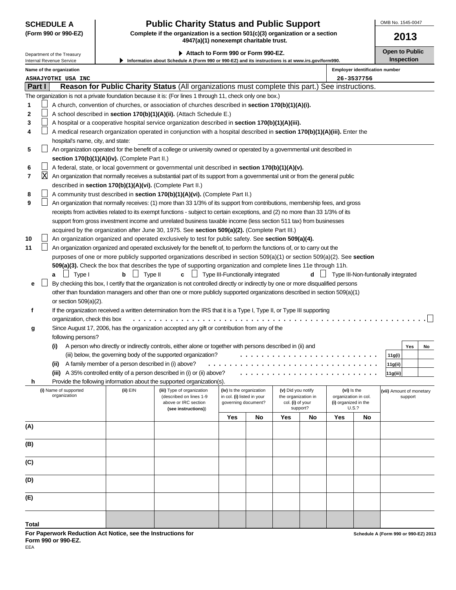# **SCHEDULE A Public Charity Status and Public Support**

**(Form 990 or 990-EZ) Complete if the organization is a section 501(c)(3) organization or a section 4947(a)(1) nonexempt charitable trust.**

▶ Attach to Form 990 or Form 990-EZ. **Depict on Attach to Public** 

Department of the Treasury Internal Revenue Service

| \ttach to Form 990 or Form 990-EZ. |  |  |  |  |  |
|------------------------------------|--|--|--|--|--|
|------------------------------------|--|--|--|--|--|

OMB No. 1545-0047

|                                                                   |   | Internal Revenue Service              |                                                            | Information about Schedule A (Form 990 or 990-EZ) and its instructions is at www.irs.gov/form990.                                  |                                                        |    |                                           |          |                                     |                                     |                          | <b>Inspection</b> |    |
|-------------------------------------------------------------------|---|---------------------------------------|------------------------------------------------------------|------------------------------------------------------------------------------------------------------------------------------------|--------------------------------------------------------|----|-------------------------------------------|----------|-------------------------------------|-------------------------------------|--------------------------|-------------------|----|
| Name of the organization<br><b>Employer identification number</b> |   |                                       |                                                            |                                                                                                                                    |                                                        |    |                                           |          |                                     |                                     |                          |                   |    |
|                                                                   |   | <b>ASHAJYOTHI USA INC</b>             |                                                            |                                                                                                                                    |                                                        |    |                                           |          |                                     | 26-3537756                          |                          |                   |    |
| <b>Part I</b>                                                     |   |                                       |                                                            | Reason for Public Charity Status (All organizations must complete this part.) See instructions.                                    |                                                        |    |                                           |          |                                     |                                     |                          |                   |    |
|                                                                   |   |                                       |                                                            | The organization is not a private foundation because it is: (For lines 1 through 11, check only one box.)                          |                                                        |    |                                           |          |                                     |                                     |                          |                   |    |
| 1                                                                 |   |                                       |                                                            | A church, convention of churches, or association of churches described in section 170(b)(1)(A)(i).                                 |                                                        |    |                                           |          |                                     |                                     |                          |                   |    |
| 2                                                                 |   |                                       |                                                            | A school described in section 170(b)(1)(A)(ii). (Attach Schedule E.)                                                               |                                                        |    |                                           |          |                                     |                                     |                          |                   |    |
| 3                                                                 |   |                                       |                                                            | A hospital or a cooperative hospital service organization described in section 170(b)(1)(A)(iii).                                  |                                                        |    |                                           |          |                                     |                                     |                          |                   |    |
| 4                                                                 |   |                                       |                                                            | A medical research organization operated in conjunction with a hospital described in section 170(b)(1)(A)(iii). Enter the          |                                                        |    |                                           |          |                                     |                                     |                          |                   |    |
|                                                                   |   | hospital's name, city, and state:     |                                                            |                                                                                                                                    |                                                        |    |                                           |          |                                     |                                     |                          |                   |    |
| 5                                                                 |   |                                       |                                                            | An organization operated for the benefit of a college or university owned or operated by a governmental unit described in          |                                                        |    |                                           |          |                                     |                                     |                          |                   |    |
|                                                                   |   |                                       | section 170(b)(1)(A)(iv). (Complete Part II.)              |                                                                                                                                    |                                                        |    |                                           |          |                                     |                                     |                          |                   |    |
| 6                                                                 |   |                                       |                                                            | A federal, state, or local government or governmental unit described in section 170(b)(1)(A)(v).                                   |                                                        |    |                                           |          |                                     |                                     |                          |                   |    |
| 7                                                                 | X |                                       |                                                            | An organization that normally receives a substantial part of its support from a governmental unit or from the general public       |                                                        |    |                                           |          |                                     |                                     |                          |                   |    |
|                                                                   |   |                                       | described in section 170(b)(1)(A)(vi). (Complete Part II.) |                                                                                                                                    |                                                        |    |                                           |          |                                     |                                     |                          |                   |    |
| 8                                                                 |   |                                       |                                                            | A community trust described in section 170(b)(1)(A)(vi). (Complete Part II.)                                                       |                                                        |    |                                           |          |                                     |                                     |                          |                   |    |
| 9                                                                 |   |                                       |                                                            | An organization that normally receives: (1) more than 33 1/3% of its support from contributions, membership fees, and gross        |                                                        |    |                                           |          |                                     |                                     |                          |                   |    |
|                                                                   |   |                                       |                                                            | receipts from activities related to its exempt functions - subject to certain exceptions, and (2) no more than 33 1/3% of its      |                                                        |    |                                           |          |                                     |                                     |                          |                   |    |
|                                                                   |   |                                       |                                                            | support from gross investment income and unrelated business taxable income (less section 511 tax) from businesses                  |                                                        |    |                                           |          |                                     |                                     |                          |                   |    |
|                                                                   |   |                                       |                                                            | acquired by the organization after June 30, 1975. See section 509(a)(2). (Complete Part III.)                                      |                                                        |    |                                           |          |                                     |                                     |                          |                   |    |
| 10                                                                |   |                                       |                                                            | An organization organized and operated exclusively to test for public safety. See section 509(a)(4).                               |                                                        |    |                                           |          |                                     |                                     |                          |                   |    |
| 11                                                                |   |                                       |                                                            | An organization organized and operated exclusively for the benefit of, to perform the functions of, or to carry out the            |                                                        |    |                                           |          |                                     |                                     |                          |                   |    |
|                                                                   |   |                                       |                                                            | purposes of one or more publicly supported organizations described in section 509(a)(1) or section 509(a)(2). See section          |                                                        |    |                                           |          |                                     |                                     |                          |                   |    |
|                                                                   |   |                                       |                                                            | 509(a)(3). Check the box that describes the type of supporting organization and complete lines 11e through 11h.                    |                                                        |    |                                           |          |                                     |                                     |                          |                   |    |
|                                                                   |   | $\Box$ Type I<br>a                    | Type II<br>b                                               | C                                                                                                                                  | Type III-Functionally integrated                       |    |                                           | d        |                                     | Type III-Non-funtionally integrated |                          |                   |    |
| е                                                                 |   |                                       |                                                            | By checking this box, I certify that the organization is not controlled directly or indirectly by one or more disqualified persons |                                                        |    |                                           |          |                                     |                                     |                          |                   |    |
|                                                                   |   |                                       |                                                            | other than foundation managers and other than one or more publicly supported organizations described in section 509(a)(1)          |                                                        |    |                                           |          |                                     |                                     |                          |                   |    |
|                                                                   |   | or section $509(a)(2)$ .              |                                                            |                                                                                                                                    |                                                        |    |                                           |          |                                     |                                     |                          |                   |    |
|                                                                   |   |                                       |                                                            | If the organization received a written determination from the IRS that it is a Type I, Type II, or Type III supporting             |                                                        |    |                                           |          |                                     |                                     |                          |                   |    |
| f                                                                 |   |                                       |                                                            |                                                                                                                                    |                                                        |    |                                           |          |                                     |                                     |                          |                   |    |
|                                                                   |   | organization, check this box          |                                                            |                                                                                                                                    |                                                        |    |                                           |          |                                     |                                     |                          |                   |    |
| g                                                                 |   |                                       |                                                            | Since August 17, 2006, has the organization accepted any gift or contribution from any of the                                      |                                                        |    |                                           |          |                                     |                                     |                          |                   |    |
|                                                                   |   | following persons?                    |                                                            |                                                                                                                                    |                                                        |    |                                           |          |                                     |                                     |                          |                   |    |
|                                                                   |   | (i)                                   |                                                            | A person who directly or indirectly controls, either alone or together with persons described in (ii) and                          |                                                        |    |                                           |          |                                     |                                     |                          | Yes               | No |
|                                                                   |   |                                       |                                                            | (iii) below, the governing body of the supported organization?                                                                     |                                                        |    |                                           |          |                                     |                                     | 11g(i)                   |                   |    |
|                                                                   |   | (ii)                                  | A family member of a person described in (i) above?        |                                                                                                                                    |                                                        |    |                                           |          |                                     |                                     | 11g(ii)                  |                   |    |
|                                                                   |   |                                       |                                                            | (iii) A 35% controlled entity of a person described in (i) or (ii) above?                                                          |                                                        |    |                                           |          |                                     |                                     | 11g(iii)                 |                   |    |
| h                                                                 |   |                                       |                                                            | Provide the following information about the supported organization(s).                                                             |                                                        |    |                                           |          |                                     |                                     |                          |                   |    |
|                                                                   |   | (i) Name of supported<br>organization | (ii) EIN                                                   | (iii) Type of organization<br>(described on lines 1-9                                                                              | (iv) Is the organization<br>in col. (i) listed in your |    | (v) Did you notify<br>the organization in |          | (vi) Is the<br>organization in col. |                                     | (vii) Amount of monetary | support           |    |
|                                                                   |   |                                       |                                                            | above or IRC section                                                                                                               | governing document?                                    |    | col. (i) of your                          |          | (i) organized in the                |                                     |                          |                   |    |
|                                                                   |   |                                       |                                                            | (see instructions))                                                                                                                |                                                        |    |                                           | support? | U.S.?                               |                                     |                          |                   |    |
|                                                                   |   |                                       |                                                            |                                                                                                                                    | Yes                                                    | No | Yes                                       | No       | Yes                                 | <b>No</b>                           |                          |                   |    |
| (A)                                                               |   |                                       |                                                            |                                                                                                                                    |                                                        |    |                                           |          |                                     |                                     |                          |                   |    |
|                                                                   |   |                                       |                                                            |                                                                                                                                    |                                                        |    |                                           |          |                                     |                                     |                          |                   |    |
| (B)                                                               |   |                                       |                                                            |                                                                                                                                    |                                                        |    |                                           |          |                                     |                                     |                          |                   |    |
|                                                                   |   |                                       |                                                            |                                                                                                                                    |                                                        |    |                                           |          |                                     |                                     |                          |                   |    |
| (C)                                                               |   |                                       |                                                            |                                                                                                                                    |                                                        |    |                                           |          |                                     |                                     |                          |                   |    |
|                                                                   |   |                                       |                                                            |                                                                                                                                    |                                                        |    |                                           |          |                                     |                                     |                          |                   |    |
| (D)                                                               |   |                                       |                                                            |                                                                                                                                    |                                                        |    |                                           |          |                                     |                                     |                          |                   |    |
|                                                                   |   |                                       |                                                            |                                                                                                                                    |                                                        |    |                                           |          |                                     |                                     |                          |                   |    |
| (E)                                                               |   |                                       |                                                            |                                                                                                                                    |                                                        |    |                                           |          |                                     |                                     |                          |                   |    |
|                                                                   |   |                                       |                                                            |                                                                                                                                    |                                                        |    |                                           |          |                                     |                                     |                          |                   |    |
|                                                                   |   |                                       |                                                            |                                                                                                                                    |                                                        |    |                                           |          |                                     |                                     |                          |                   |    |

**For Paperwork Reduction Act Notice, see the Instructions for Form 990 or 990-EZ.**

**Total**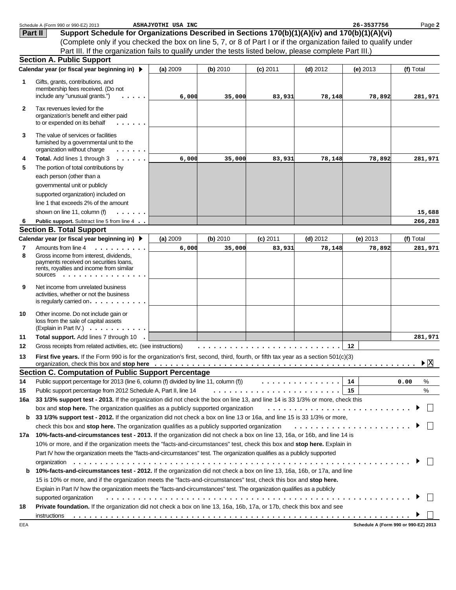|              | Schedule A (Form 990 or 990-EZ) 2013                                                                                                                                                                                                                                                                                                                                 | ASHAJYOTHI USA INC |          |            |            | 26-3537756 | Page 2                               |
|--------------|----------------------------------------------------------------------------------------------------------------------------------------------------------------------------------------------------------------------------------------------------------------------------------------------------------------------------------------------------------------------|--------------------|----------|------------|------------|------------|--------------------------------------|
|              | Support Schedule for Organizations Described in Sections 170(b)(1)(A)(iv) and 170(b)(1)(A)(vi)<br>Part II                                                                                                                                                                                                                                                            |                    |          |            |            |            |                                      |
|              | (Complete only if you checked the box on line 5, 7, or 8 of Part I or if the organization failed to qualify under                                                                                                                                                                                                                                                    |                    |          |            |            |            |                                      |
|              | Part III. If the organization fails to qualify under the tests listed below, please complete Part III.)                                                                                                                                                                                                                                                              |                    |          |            |            |            |                                      |
|              | <b>Section A. Public Support</b>                                                                                                                                                                                                                                                                                                                                     |                    |          |            |            |            |                                      |
|              | Calendar year (or fiscal year beginning in) ▶                                                                                                                                                                                                                                                                                                                        | (a) 2009           | (b) 2010 | $(c)$ 2011 | $(d)$ 2012 | (e) $2013$ | (f) Total                            |
| 1            | Gifts, grants, contributions, and                                                                                                                                                                                                                                                                                                                                    |                    |          |            |            |            |                                      |
|              | membership fees received. (Do not                                                                                                                                                                                                                                                                                                                                    |                    |          |            |            |            |                                      |
|              | include any "unusual grants.")                                                                                                                                                                                                                                                                                                                                       | 6,000              | 35,000   | 83,931     | 78,148     | 78,892     | 281,971                              |
| $\mathbf{2}$ | Tax revenues levied for the                                                                                                                                                                                                                                                                                                                                          |                    |          |            |            |            |                                      |
|              | organization's benefit and either paid<br>to or expended on its behalf                                                                                                                                                                                                                                                                                               |                    |          |            |            |            |                                      |
| 3            | The value of services or facilities<br>furnished by a governmental unit to the<br>organization without charge                                                                                                                                                                                                                                                        |                    |          |            |            |            |                                      |
| 4            | Total. Add lines 1 through 3<br>$\cdots$                                                                                                                                                                                                                                                                                                                             | 6,000              | 35,000   | 83,931     | 78,148     | 78,892     | 281,971                              |
| 5            | The portion of total contributions by                                                                                                                                                                                                                                                                                                                                |                    |          |            |            |            |                                      |
|              | each person (other than a                                                                                                                                                                                                                                                                                                                                            |                    |          |            |            |            |                                      |
|              | governmental unit or publicly                                                                                                                                                                                                                                                                                                                                        |                    |          |            |            |            |                                      |
|              | supported organization) included on                                                                                                                                                                                                                                                                                                                                  |                    |          |            |            |            |                                      |
|              | line 1 that exceeds 2% of the amount                                                                                                                                                                                                                                                                                                                                 |                    |          |            |            |            |                                      |
|              | shown on line 11, column (f)                                                                                                                                                                                                                                                                                                                                         |                    |          |            |            |            | 15,688                               |
| 6            | Public support. Subtract line 5 from line 4                                                                                                                                                                                                                                                                                                                          |                    |          |            |            |            | 266,283                              |
|              | <b>Section B. Total Support</b>                                                                                                                                                                                                                                                                                                                                      |                    |          |            |            |            |                                      |
|              | Calendar year (or fiscal year beginning in) ▶                                                                                                                                                                                                                                                                                                                        | (a) 2009           | (b) 2010 | $(c)$ 2011 | $(d)$ 2012 | $(e)$ 2013 | (f) Total                            |
| 7            | Amounts from line 4<br>.                                                                                                                                                                                                                                                                                                                                             | 6,000              | 35,000   | 83,931     | 78,148     | 78,892     | 281,971                              |
| 8            | Gross income from interest, dividends,<br>payments received on securities loans,<br>rents, royalties and income from similar<br>SOUICES                                                                                                                                                                                                                              |                    |          |            |            |            |                                      |
| 9            | Net income from unrelated business<br>activities, whether or not the business<br>is regularly carried on. $\ldots$ . $\ldots$ .                                                                                                                                                                                                                                      |                    |          |            |            |            |                                      |
| 10           | Other income. Do not include gain or<br>loss from the sale of capital assets<br>(Explain in Part IV.) $\ldots$ , $\ldots$ , $\ldots$                                                                                                                                                                                                                                 |                    |          |            |            |            |                                      |
| 11           | Total support. Add lines 7 through 10                                                                                                                                                                                                                                                                                                                                |                    |          |            |            |            | 281,971                              |
| 12           | Gross receipts from related activities, etc. (see instructions)                                                                                                                                                                                                                                                                                                      |                    | .        |            |            | 12         |                                      |
| 13           | First five years. If the Form 990 is for the organization's first, second, third, fourth, or fifth tax year as a section 501(c)(3)<br>organization, check this box and stop here edition of the state of the state of the state of the state of the state of the state of the state of the state of the state of the state of the state of the state of the state of |                    |          |            |            |            | $\blacktriangleright \boxtimes$      |
|              | <b>Section C. Computation of Public Support Percentage</b>                                                                                                                                                                                                                                                                                                           |                    |          |            |            |            |                                      |
| 14           | Public support percentage for 2013 (line 6, column (f) divided by line 11, column (f) $\ldots \ldots \ldots \ldots$                                                                                                                                                                                                                                                  |                    |          |            |            | 14         | %<br>0.00                            |
| 15           | Public support percentage from 2012 Schedule A, Part II, line 14                                                                                                                                                                                                                                                                                                     |                    |          |            |            |            | %                                    |
| 16a          | 33 1/3% support test - 2013. If the organization did not check the box on line 13, and line 14 is 33 1/3% or more, check this                                                                                                                                                                                                                                        |                    |          |            |            |            |                                      |
|              | box and stop here. The organization qualifies as a publicly supported organization                                                                                                                                                                                                                                                                                   |                    |          |            |            |            |                                      |
| b            | 33 1/3% support test - 2012. If the organization did not check a box on line 13 or 16a, and line 15 is 33 1/3% or more,                                                                                                                                                                                                                                              |                    |          |            |            |            |                                      |
|              | check this box and stop here. The organization qualifies as a publicly supported organization                                                                                                                                                                                                                                                                        |                    |          |            |            |            |                                      |
| 17a          | 10%-facts-and-circumstances test - 2013. If the organization did not check a box on line 13, 16a, or 16b, and line 14 is                                                                                                                                                                                                                                             |                    |          |            |            |            |                                      |
|              | 10% or more, and if the organization meets the "facts-and-circumstances" test, check this box and stop here. Explain in                                                                                                                                                                                                                                              |                    |          |            |            |            |                                      |
|              | Part IV how the organization meets the "facts-and-circumstances" test. The organization qualifies as a publicly supported                                                                                                                                                                                                                                            |                    |          |            |            |            |                                      |
|              |                                                                                                                                                                                                                                                                                                                                                                      |                    |          |            |            |            |                                      |
| b            | 10%-facts-and-circumstances test - 2012. If the organization did not check a box on line 13, 16a, 16b, or 17a, and line                                                                                                                                                                                                                                              |                    |          |            |            |            |                                      |
|              | 15 is 10% or more, and if the organization meets the "facts-and-circumstances" test, check this box and stop here.                                                                                                                                                                                                                                                   |                    |          |            |            |            |                                      |
|              | Explain in Part IV how the organization meets the "facts-and-circumstances" test. The organization qualifies as a publicly                                                                                                                                                                                                                                           |                    |          |            |            |            |                                      |
|              | supported organization                                                                                                                                                                                                                                                                                                                                               |                    |          |            |            |            |                                      |
| 18           | Private foundation. If the organization did not check a box on line 13, 16a, 16b, 17a, or 17b, check this box and see                                                                                                                                                                                                                                                |                    |          |            |            |            |                                      |
|              | instructions                                                                                                                                                                                                                                                                                                                                                         |                    |          |            |            |            |                                      |
| EEA          |                                                                                                                                                                                                                                                                                                                                                                      |                    |          |            |            |            | Schedule A (Form 990 or 990-EZ) 2013 |
|              |                                                                                                                                                                                                                                                                                                                                                                      |                    |          |            |            |            |                                      |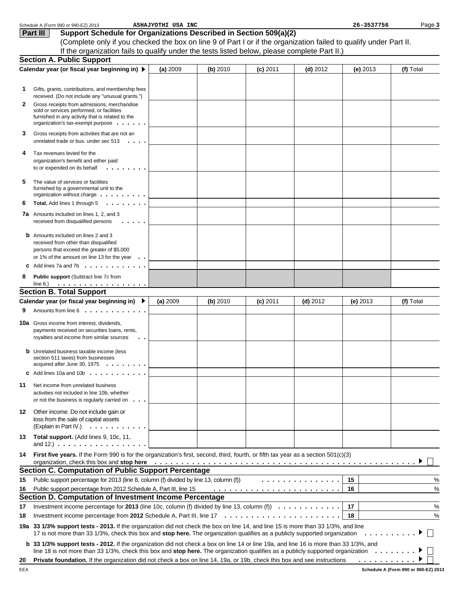|    | Schedule A (Form 990 or 990-EZ) 2013                                                                                                                                                                                                                                                                   | ASHAJYOTHI USA INC |          |            |            | 26-3537756 | Page 3    |
|----|--------------------------------------------------------------------------------------------------------------------------------------------------------------------------------------------------------------------------------------------------------------------------------------------------------|--------------------|----------|------------|------------|------------|-----------|
|    | Support Schedule for Organizations Described in Section 509(a)(2)<br>Part III                                                                                                                                                                                                                          |                    |          |            |            |            |           |
|    | (Complete only if you checked the box on line 9 of Part I or if the organization failed to qualify under Part II.                                                                                                                                                                                      |                    |          |            |            |            |           |
|    | If the organization fails to qualify under the tests listed below, please complete Part II.)                                                                                                                                                                                                           |                    |          |            |            |            |           |
|    | <b>Section A. Public Support</b>                                                                                                                                                                                                                                                                       |                    |          |            |            |            |           |
|    | Calendar year (or fiscal year beginning in) ▶                                                                                                                                                                                                                                                          | (a) 2009           | (b) 2010 | $(c)$ 2011 | $(d)$ 2012 | $(e)$ 2013 | (f) Total |
|    |                                                                                                                                                                                                                                                                                                        |                    |          |            |            |            |           |
| 1  | Gifts, grants, contributions, and membership fees                                                                                                                                                                                                                                                      |                    |          |            |            |            |           |
|    | received. (Do not include any "unusual grants.")                                                                                                                                                                                                                                                       |                    |          |            |            |            |           |
| 2  | Gross receipts from admissions, merchandise<br>sold or services performed, or facilities                                                                                                                                                                                                               |                    |          |            |            |            |           |
|    | furnished in any activity that is related to the                                                                                                                                                                                                                                                       |                    |          |            |            |            |           |
|    | organization's tax-exempt purpose $\ldots$                                                                                                                                                                                                                                                             |                    |          |            |            |            |           |
| 3  | Gross receipts from activities that are not an<br>unrelated trade or bus. under sec $513 \cdot \cdot \cdot$ .                                                                                                                                                                                          |                    |          |            |            |            |           |
| 4  | Tax revenues levied for the                                                                                                                                                                                                                                                                            |                    |          |            |            |            |           |
|    | organization's benefit and either paid                                                                                                                                                                                                                                                                 |                    |          |            |            |            |           |
|    | to or expended on its behalf $\ldots \ldots \ldots$                                                                                                                                                                                                                                                    |                    |          |            |            |            |           |
| 5  | The value of services or facilities                                                                                                                                                                                                                                                                    |                    |          |            |            |            |           |
|    | furnished by a governmental unit to the                                                                                                                                                                                                                                                                |                    |          |            |            |            |           |
| 6  | organization without charge $\dots \dots \dots$<br>$\cdot$<br>Total. Add lines 1 through 5                                                                                                                                                                                                             |                    |          |            |            |            |           |
|    |                                                                                                                                                                                                                                                                                                        |                    |          |            |            |            |           |
|    | <b>7a</b> Amounts included on lines 1, 2, and 3<br>received from disqualified persons<br>$\cdots$                                                                                                                                                                                                      |                    |          |            |            |            |           |
|    | <b>b</b> Amounts included on lines 2 and 3                                                                                                                                                                                                                                                             |                    |          |            |            |            |           |
|    | received from other than disqualified                                                                                                                                                                                                                                                                  |                    |          |            |            |            |           |
|    | persons that exceed the greater of \$5,000<br>or 1% of the amount on line 13 for the year $\ldots$                                                                                                                                                                                                     |                    |          |            |            |            |           |
|    | <b>C</b> Add lines 7a and 7b $\ldots$ $\ldots$ $\ldots$ $\ldots$                                                                                                                                                                                                                                       |                    |          |            |            |            |           |
|    |                                                                                                                                                                                                                                                                                                        |                    |          |            |            |            |           |
| 8  | Public support (Subtract line 7c from<br>. <u>.</u><br>line $6$ .)                                                                                                                                                                                                                                     |                    |          |            |            |            |           |
|    | <b>Section B. Total Support</b>                                                                                                                                                                                                                                                                        |                    |          |            |            |            |           |
|    | Calendar year (or fiscal year beginning in) ▶                                                                                                                                                                                                                                                          | (a) 2009           | (b) 2010 | $(c)$ 2011 | $(d)$ 2012 | (e) $2013$ | (f) Total |
| 9  | Amounts from line 6                                                                                                                                                                                                                                                                                    |                    |          |            |            |            |           |
|    | <b>10a</b> Gross income from interest, dividends,                                                                                                                                                                                                                                                      |                    |          |            |            |            |           |
|    | payments received on securities loans, rents,                                                                                                                                                                                                                                                          |                    |          |            |            |            |           |
|    | royalties and income from similar sources<br>$\sim$ $\sim$                                                                                                                                                                                                                                             |                    |          |            |            |            |           |
|    | <b>b</b> Unrelated business taxable income (less                                                                                                                                                                                                                                                       |                    |          |            |            |            |           |
|    | section 511 taxes) from businesses                                                                                                                                                                                                                                                                     |                    |          |            |            |            |           |
|    | acquired after June 30, 1975 $\ldots$ , $\ldots$                                                                                                                                                                                                                                                       |                    |          |            |            |            |           |
|    | <b>c</b> Add lines 10a and 10b $\ldots$                                                                                                                                                                                                                                                                |                    |          |            |            |            |           |
| 11 | Net income from unrelated business                                                                                                                                                                                                                                                                     |                    |          |            |            |            |           |
|    | activities not included in line 10b, whether                                                                                                                                                                                                                                                           |                    |          |            |            |            |           |
|    | or not the business is regularly carried on $\ldots$                                                                                                                                                                                                                                                   |                    |          |            |            |            |           |
| 12 | Other income. Do not include gain or                                                                                                                                                                                                                                                                   |                    |          |            |            |            |           |
|    | loss from the sale of capital assets                                                                                                                                                                                                                                                                   |                    |          |            |            |            |           |
|    | (Explain in Part IV.) $\ldots \ldots \ldots$                                                                                                                                                                                                                                                           |                    |          |            |            |            |           |
| 13 | Total support. (Add lines 9, 10c, 11,<br>and $12.$ ) $\ldots$ $\ldots$ $\ldots$ $\ldots$ $\ldots$ $\ldots$ $\ldots$                                                                                                                                                                                    |                    |          |            |            |            |           |
| 14 | First five years. If the Form 990 is for the organization's first, second, third, fourth, or fifth tax year as a section 501(c)(3)                                                                                                                                                                     |                    |          |            |            |            |           |
|    | organization, check this box and stop here enteration of the state of the state of the state of the state of the state of the state of the state of the state of the state of the state of the state of the state of the stat<br><b>Section C. Computation of Public Support Percentage</b>            |                    |          |            |            |            |           |
| 15 | Public support percentage for 2013 (line 8, column (f) divided by line 13, column (f))                                                                                                                                                                                                                 |                    |          |            | .          | 15         | %         |
| 16 | Public support percentage from 2012 Schedule A, Part III, line 15                                                                                                                                                                                                                                      |                    |          |            |            | 16         | %         |
|    | Section D. Computation of Investment Income Percentage                                                                                                                                                                                                                                                 |                    |          |            |            |            |           |
| 17 | Investment income percentage for 2013 (line 10c, column (f) divided by line 13, column (f) $\ldots \ldots \ldots$                                                                                                                                                                                      |                    |          |            |            | 17         | %         |
| 18 |                                                                                                                                                                                                                                                                                                        |                    |          |            |            | 18         | %         |
|    | 19a 33 1/3% support tests - 2013. If the organization did not check the box on line 14, and line 15 is more than 33 1/3%, and line                                                                                                                                                                     |                    |          |            |            |            |           |
|    | 17 is not more than 33 1/3%, check this box and stop here. The organization qualifies as a publicly supported organization                                                                                                                                                                             |                    |          |            |            | .          |           |
|    | <b>b</b> 33 1/3% support tests - 2012. If the organization did not check a box on line 14 or line 19a, and line 16 is more than 33 1/3%, and<br>line 18 is not more than 33 1/3%, check this box and stop here. The organization qualifies as a publicly supported organization $\ldots \ldots \ldots$ |                    |          |            |            |            |           |
| 20 | Private foundation. If the organization did not check a box on line 14, 19a, or 19b, check this box and see instructions                                                                                                                                                                               |                    |          |            |            |            |           |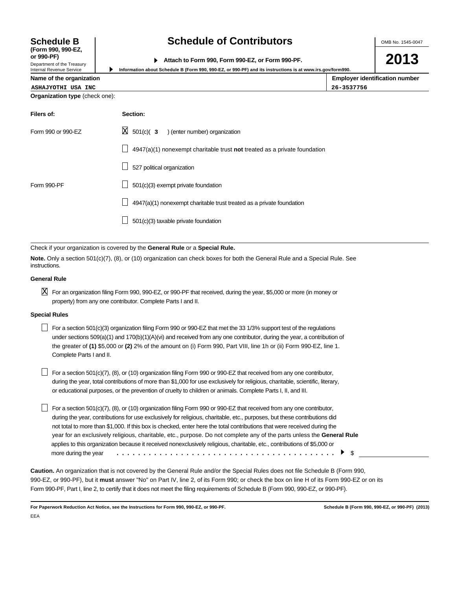OMB No. 1545-0047

| or 990-PF)                   |                                                  |
|------------------------------|--------------------------------------------------|
|                              | Attach to Form 990, Form 990-EZ, or Form 990-PF. |
| Donasterant of the Transmiss |                                                  |

**2013**

| Internal Revenue Service              |          | Information about Schedule B (Form 990, 990-EZ, or 990-PF) and its instructions is at www.irs.gov/form990. |
|---------------------------------------|----------|------------------------------------------------------------------------------------------------------------|
| Name of the organization              |          | <b>Employer identification number</b>                                                                      |
| ASHAJYOTHI USA INC                    |          | 26-3537756                                                                                                 |
| <b>Organization type (check one):</b> |          |                                                                                                            |
| Filers of:                            | Section: |                                                                                                            |

| Form 990 or 990-EZ | $\boxtimes$ 501(c)( 3 ) (enter number) organization                       |
|--------------------|---------------------------------------------------------------------------|
|                    | 4947(a)(1) nonexempt charitable trust not treated as a private foundation |
|                    | 527 political organization                                                |
| Form 990-PF        | 501(c)(3) exempt private foundation                                       |
|                    | 4947(a)(1) nonexempt charitable trust treated as a private foundation     |
|                    | 501(c)(3) taxable private foundation                                      |

Check if your organization is covered by the **General Rule** or a **Special Rule.**

**Note.** Only a section 501(c)(7), (8), or (10) organization can check boxes for both the General Rule and a Special Rule. See instructions.

#### **General Rule**

**Schedule B (Form 990, 990-EZ,**

Department of the Treasury

 $\boxtimes$  For an organization filing Form 990, 990-EZ, or 990-PF that received, during the year, \$5,000 or more (in money or property) from any one contributor. Complete Parts I and II.

#### **Special Rules**

| For a section 501(c)(3) organization filing Form 990 or 990-EZ that met the 33 1/3% support test of the regulations         |
|-----------------------------------------------------------------------------------------------------------------------------|
| under sections $509(a)(1)$ and $170(b)(1)(A)(vi)$ and received from any one contributor, during the year, a contribution of |
| the greater of (1) \$5,000 or (2) 2% of the amount on (i) Form 990, Part VIII, line 1h or (ii) Form 990-EZ, line 1.         |
| Complete Parts I and II.                                                                                                    |

 $\Box$  For a section 501(c)(7), (8), or (10) organization filing Form 990 or 990-EZ that received from any one contributor, during the year, total contributions of more than \$1,000 for use exclusively for religious, charitable, scientific, literary, or educational purposes, or the prevention of cruelty to children or animals. Complete Parts I, II, and III.

 $\Box$  For a section 501(c)(7), (8), or (10) organization filing Form 990 or 990-EZ that received from any one contributor, during the year, contributions for use exclusively for religious, charitable, etc., purposes, but these contributions did not total to more than \$1,000. If this box is checked, enter here the total contributions that were received during the year for an exclusively religious, charitable, etc., purpose. Do not complete any of the parts unless the **General Rule** applies to this organization because it received nonexclusively religious, charitable, etc., contributions of \$5,000 or more during the year \$ .........................................

**Caution.** An organization that is not covered by the General Rule and/or the Special Rules does not file Schedule B (Form 990, 990-EZ, or 990-PF), but it **must** answer "No" on Part IV, line 2, of its Form 990; or check the box on line H of its Form 990-EZ or on its Form 990-PF, Part I, line 2, to certify that it does not meet the filing requirements of Schedule B (Form 990, 990-EZ, or 990-PF).

**For Paperwork Reduction Act Notice, see the Instructions for Form 990, 990-EZ, or 990-PF. Schedule B (Form 990, 990-EZ, or 990-PF) (2013)** EEA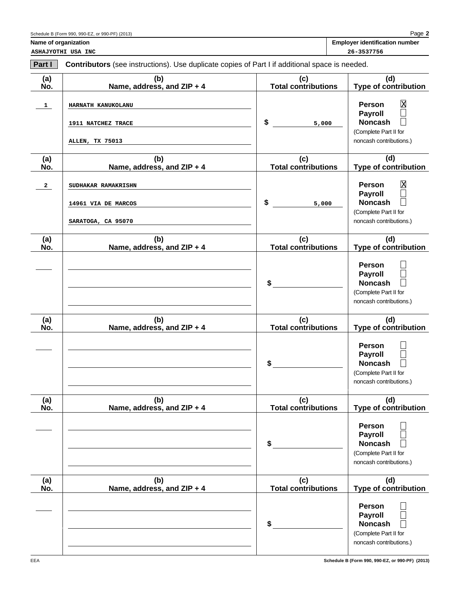| Schedule B (Form 990, 990-EZ, or 990-PF) (2013) |  |  |  |  |
|-------------------------------------------------|--|--|--|--|
|-------------------------------------------------|--|--|--|--|

**2** Page

Name of organization **Name of organization Employer identification** number

**ASHAJYOTHI USA INC 26-3537756**

| Part I       | Contributors (see instructions). Use duplicate copies of Part I if additional space is needed. |                                   |                                                                                                                                |  |
|--------------|------------------------------------------------------------------------------------------------|-----------------------------------|--------------------------------------------------------------------------------------------------------------------------------|--|
| (a)<br>No.   | (b)<br>Name, address, and ZIP + 4                                                              | (c)<br><b>Total contributions</b> | (d)<br>Type of contribution                                                                                                    |  |
| $\mathbf{1}$ | HARNATH KANUKOLANU<br>1911 NATCHEZ TRACE<br><b>ALLEN, TX 75013</b>                             | \$<br>5,000                       | $\overline{\text{X}}$<br><b>Person</b><br><b>Payroll</b><br><b>Noncash</b><br>(Complete Part II for<br>noncash contributions.) |  |
| (a)<br>No.   | (b)<br>Name, address, and ZIP + 4                                                              | (c)<br><b>Total contributions</b> | (d)<br><b>Type of contribution</b>                                                                                             |  |
| $\mathbf{2}$ | SUDHAKAR RAMAKRISHN<br>14961 VIA DE MARCOS<br>SARATOGA, CA 95070                               | \$<br>5,000                       | $\overline{\text{X}}$<br><b>Person</b><br><b>Payroll</b><br><b>Noncash</b><br>(Complete Part II for<br>noncash contributions.) |  |
| (a)<br>No.   | (b)<br>Name, address, and ZIP + 4                                                              | (c)<br><b>Total contributions</b> | (d)<br><b>Type of contribution</b>                                                                                             |  |
|              |                                                                                                | \$                                | <b>Person</b><br>Payroll<br><b>Noncash</b><br>(Complete Part II for<br>noncash contributions.)                                 |  |
| (a)<br>No.   | (b)<br>Name, address, and ZIP + 4                                                              | (c)<br><b>Total contributions</b> | (d)<br><b>Type of contribution</b>                                                                                             |  |
|              |                                                                                                | \$                                | <b>Person</b><br><b>Payroll</b><br><b>Noncash</b><br>(Complete Part II for<br>noncash contributions.)                          |  |
| (a)<br>No.   | (b)<br>Name, address, and ZIP + 4                                                              | (c)<br><b>Total contributions</b> | (d)<br><b>Type of contribution</b>                                                                                             |  |
|              |                                                                                                | \$                                | <b>Person</b><br><b>Payroll</b><br><b>Noncash</b><br>(Complete Part II for<br>noncash contributions.)                          |  |
| (a)<br>No.   | (b)<br>Name, address, and ZIP + 4                                                              | (c)<br><b>Total contributions</b> | (d)<br><b>Type of contribution</b>                                                                                             |  |
|              |                                                                                                | \$                                | <b>Person</b><br><b>Payroll</b><br><b>Noncash</b><br>(Complete Part II for<br>noncash contributions.)                          |  |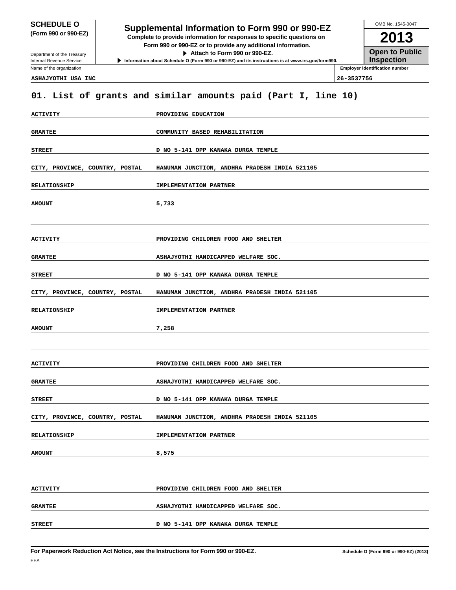# **SCHEDULE O**<br> **Supplemental Information to Form 990 or 990-EZ**<br> **Supplemental Information to Form 990 or 990-EZ**

**(Form 990 or 990-EZ) Complete to provide information for responses to specific questions on**

**Form 990 or 990-EZ or to provide any additional information. Attach to Form 990 or 990-EZ.**

**Information about Schedule O (Form 990 or 990-EZ) and its instructions is at www.irs.gov/form990.**

**2013 Open to Public Inspection**

OMB No. 1545-0047

Department of the Treasury Internal Revenue Service Name of the organization

**Employer identification number ASHAJYOTHI USA INC 26-3537756**

# **01. List of grants and similar amounts paid (Part I, line 10)**

| ACTIVITY                        | PROVIDING EDUCATION                           |  |  |
|---------------------------------|-----------------------------------------------|--|--|
| <b>GRANTEE</b>                  | COMMUNITY BASED REHABILITATION                |  |  |
| <b>STREET</b>                   | D NO 5-141 OPP KANAKA DURGA TEMPLE            |  |  |
| CITY, PROVINCE, COUNTRY, POSTAL | HANUMAN JUNCTION, ANDHRA PRADESH INDIA 521105 |  |  |
| <b>RELATIONSHIP</b>             | IMPLEMENTATION PARTNER                        |  |  |
| <b>AMOUNT</b>                   | 5,733                                         |  |  |
|                                 |                                               |  |  |
| ACTIVITY                        | PROVIDING CHILDREN FOOD AND SHELTER           |  |  |
| <b>GRANTEE</b>                  | ASHAJYOTHI HANDICAPPED WELFARE SOC.           |  |  |
| <b>STREET</b>                   | D NO 5-141 OPP KANAKA DURGA TEMPLE            |  |  |
| CITY, PROVINCE, COUNTRY, POSTAL | HANUMAN JUNCTION, ANDHRA PRADESH INDIA 521105 |  |  |
| <b>RELATIONSHIP</b>             | IMPLEMENTATION PARTNER                        |  |  |
|                                 |                                               |  |  |
| <b>AMOUNT</b>                   | 7,258                                         |  |  |
|                                 |                                               |  |  |
| ACTIVITY                        | PROVIDING CHILDREN FOOD AND SHELTER           |  |  |
| <b>GRANTEE</b>                  | ASHAJYOTHI HANDICAPPED WELFARE SOC.           |  |  |
| <b>STREET</b>                   | D NO 5-141 OPP KANAKA DURGA TEMPLE            |  |  |
| CITY, PROVINCE, COUNTRY, POSTAL | HANUMAN JUNCTION, ANDHRA PRADESH INDIA 521105 |  |  |
| <b>RELATIONSHIP</b>             | IMPLEMENTATION PARTNER                        |  |  |
| <b>AMOUNT</b>                   | 8,575                                         |  |  |
|                                 |                                               |  |  |
| ACTIVITY                        | PROVIDING CHILDREN FOOD AND SHELTER           |  |  |
| <b>GRANTEE</b>                  | ASHAJYOTHI HANDICAPPED WELFARE SOC.           |  |  |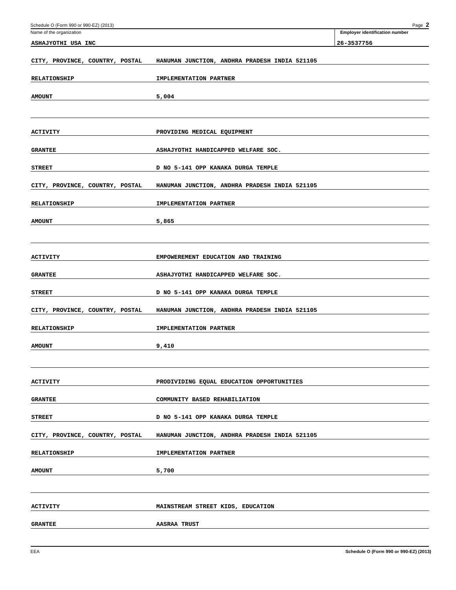| Schedule O (Form 990 or 990-EZ) (2013) |                                               | Page 2                                |
|----------------------------------------|-----------------------------------------------|---------------------------------------|
| Name of the organization               |                                               | <b>Employer identification number</b> |
| ASHAJYOTHI USA INC                     |                                               | 26-3537756                            |
|                                        |                                               |                                       |
| CITY, PROVINCE, COUNTRY, POSTAL        | HANUMAN JUNCTION, ANDHRA PRADESH INDIA 521105 |                                       |
|                                        |                                               |                                       |
| <b>RELATIONSHIP</b>                    | IMPLEMENTATION PARTNER                        |                                       |
|                                        |                                               |                                       |
| <b>AMOUNT</b>                          | 5,004                                         |                                       |
|                                        |                                               |                                       |
|                                        |                                               |                                       |
| ACTIVITY                               | PROVIDING MEDICAL EQUIPMENT                   |                                       |
|                                        |                                               |                                       |
| <b>GRANTEE</b>                         | ASHAJYOTHI HANDICAPPED WELFARE SOC.           |                                       |
|                                        |                                               |                                       |
| <b>STREET</b>                          | D NO 5-141 OPP KANAKA DURGA TEMPLE            |                                       |
| CITY, PROVINCE, COUNTRY, POSTAL        | HANUMAN JUNCTION, ANDHRA PRADESH INDIA 521105 |                                       |
|                                        |                                               |                                       |
| <b>RELATIONSHIP</b>                    | IMPLEMENTATION PARTNER                        |                                       |
|                                        |                                               |                                       |
| <b>AMOUNT</b>                          | 5,865                                         |                                       |
|                                        |                                               |                                       |
|                                        |                                               |                                       |
|                                        |                                               |                                       |
| <b>ACTIVITY</b>                        | EMPOWEREMENT EDUCATION AND TRAINING           |                                       |
| <b>GRANTEE</b>                         | ASHAJYOTHI HANDICAPPED WELFARE SOC.           |                                       |
|                                        |                                               |                                       |
| <b>STREET</b>                          | D NO 5-141 OPP KANAKA DURGA TEMPLE            |                                       |
|                                        |                                               |                                       |
| CITY, PROVINCE, COUNTRY, POSTAL        | HANUMAN JUNCTION, ANDHRA PRADESH INDIA 521105 |                                       |
| <b>RELATIONSHIP</b>                    | IMPLEMENTATION PARTNER                        |                                       |
|                                        |                                               |                                       |
| <b>AMOUNT</b>                          | 9,410                                         |                                       |
|                                        |                                               |                                       |
|                                        |                                               |                                       |
|                                        |                                               |                                       |
| <b>ACTIVITY</b>                        | PRODIVIDING EQUAL EDUCATION OPPORTUNITIES     |                                       |
| <b>GRANTEE</b>                         | COMMUNITY BASED REHABILIATION                 |                                       |
|                                        |                                               |                                       |
| <b>STREET</b>                          | D NO 5-141 OPP KANAKA DURGA TEMPLE            |                                       |
|                                        |                                               |                                       |
| CITY, PROVINCE, COUNTRY, POSTAL        | HANUMAN JUNCTION, ANDHRA PRADESH INDIA 521105 |                                       |
|                                        |                                               |                                       |
| <b>RELATIONSHIP</b>                    | IMPLEMENTATION PARTNER                        |                                       |
|                                        |                                               |                                       |
| <b>AMOUNT</b>                          | 5,700                                         |                                       |
|                                        |                                               |                                       |
|                                        |                                               |                                       |
| ACTIVITY                               | MAINSTREAM STREET KIDS, EDUCATION             |                                       |
|                                        |                                               |                                       |
| <b>GRANTEE</b>                         | <b>AASRAA TRUST</b>                           |                                       |
|                                        |                                               |                                       |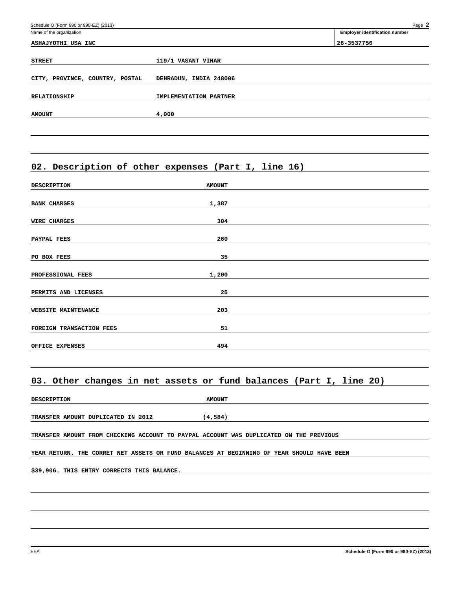| Schedule O (Form 990 or 990-EZ) (2013) |                        | Page 2                                |
|----------------------------------------|------------------------|---------------------------------------|
| Name of the organization               |                        | <b>Employer identification number</b> |
| ASHAJYOTHI USA INC                     |                        | 26-3537756                            |
| <b>STREET</b>                          | 119/1 VASANT VIHAR     |                                       |
| CITY, PROVINCE, COUNTRY, POSTAL        | DEHRADUN, INDIA 248006 |                                       |
| <b>RELATIONSHIP</b>                    | IMPLEMENTATION PARTNER |                                       |
| <b>AMOUNT</b>                          | 4,000                  |                                       |
|                                        |                        |                                       |

# **02. Description of other expenses (Part I, line 16)**

| <b>DESCRIPTION</b>       | <b>AMOUNT</b> |  |
|--------------------------|---------------|--|
|                          |               |  |
| <b>BANK CHARGES</b>      | 1,387         |  |
|                          |               |  |
| <b>WIRE CHARGES</b>      | 304           |  |
|                          |               |  |
| PAYPAL FEES              | 260           |  |
|                          |               |  |
| PO BOX FEES              | 35            |  |
|                          |               |  |
| PROFESSIONAL FEES        | 1,200         |  |
|                          |               |  |
| PERMITS AND LICENSES     | 25            |  |
|                          |               |  |
| WEBSITE MAINTENANCE      | 203           |  |
|                          |               |  |
| FOREIGN TRANSACTION FEES | 51            |  |
|                          |               |  |
| OFFICE EXPENSES          | 494           |  |
|                          |               |  |

## **03. Other changes in net assets or fund balances (Part I, line 20)**

| <b>DESCRIPTION</b> | <b>AMOUNT</b>                                                                             |  |
|--------------------|-------------------------------------------------------------------------------------------|--|
|                    |                                                                                           |  |
|                    | (4,584)<br>TRANSFER AMOUNT DUPLICATED IN 2012                                             |  |
|                    |                                                                                           |  |
|                    | TRANSFER AMOUNT FROM CHECKING ACCOUNT TO PAYPAL ACCOUNT WAS DUPLICATED ON THE PREVIOUS    |  |
|                    |                                                                                           |  |
|                    | YEAR RETURN. THE CORRET NET ASSETS OR FUND BALANCES AT BEGINNING OF YEAR SHOULD HAVE BEEN |  |
|                    |                                                                                           |  |
|                    | \$39,906. THIS ENTRY CORRECTS THIS BALANCE.                                               |  |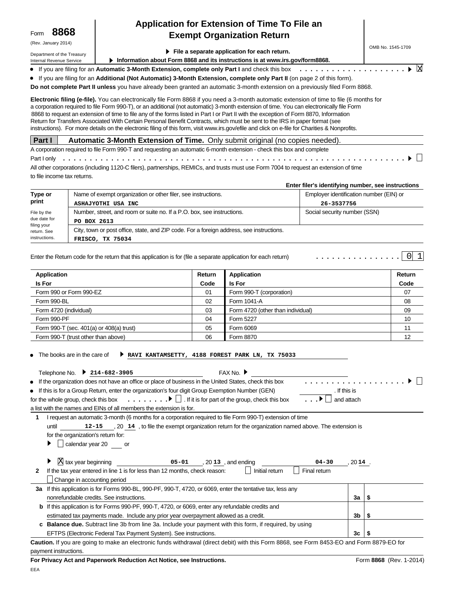(Rev. January 2014)

Department of the Treasury Internal Revenue Service

# **Application for Extension of Time To File an Exempt Organization Return**

OMB No. 1545-1709

X

 $\Box$ 

 $\bigcap$  1

|  |  |  | File a separate application for each return. |  |  |
|--|--|--|----------------------------------------------|--|--|
|--|--|--|----------------------------------------------|--|--|

**Information about Form 8868 and its instructions is at www.irs.gov/form8868.**

If you are filing for an Automatic 3-Month Extension, complete only Part I and check this box ..................

If you are filing for an **Additional (Not Automatic) 3-Month Extension, complete only Part II** (on page 2 of this form).

**Do not complete Part II unless** you have already been granted an automatic 3-month extension on a previously filed Form 8868.

**Electronic filing (e-file).** You can electronically file Form 8868 if you need a 3-month automatic extension of time to file (6 months for a corporation required to file Form 990-T), or an additional (not automatic) 3-month extension of time. You can electronically file Form 8868 to request an extension of time to file any of the forms listed in Part I or Part II with the exception of Form 8870, Information Return for Transfers Associated With Certain Personal Benefit Contracts, which must be sent to the IRS in paper format (see instructions). For more details on the electronic filing of this form, visit www.irs.gov/efile and click on e-file for Charities & Nonprofits.

### **Part I Automatic 3-Month Extension of Time.** Only submit original (no copies needed).

A corporation required to file Form 990-T and requesting an automatic 6-month extension - check this box and complete Part I only All other corporations (including 1120-C filers), partnerships, REMICs, and trusts must use Form 7004 to request an extension of time ................................................................

to file income tax returns.

**Enter filer's identifying number, see instructions**

................

| Type or                    | Name of exempt organization or other filer, see instructions.                            | Employer identification number (EIN) or |  |  |  |  |
|----------------------------|------------------------------------------------------------------------------------------|-----------------------------------------|--|--|--|--|
| print                      | ASHAJYOTHI USA INC                                                                       | 26-3537756                              |  |  |  |  |
| File by the                | Number, street, and room or suite no. If a P.O. box, see instructions.                   | Social security number (SSN)            |  |  |  |  |
| due date for               | PO BOX 2613                                                                              |                                         |  |  |  |  |
| filing your<br>return. See | City, town or post office, state, and ZIP code. For a foreign address, see instructions. |                                         |  |  |  |  |
| instructions.              | FRISCO, TX 75034                                                                         |                                         |  |  |  |  |

Enter the Return code for the return that this application is for (file a separate application for each return)

| Application                              | Return | Application                       | Return |
|------------------------------------------|--------|-----------------------------------|--------|
| <b>Is For</b>                            | Code   | <b>Is For</b>                     | Code   |
| Form 990 or Form 990-EZ                  | 01     | Form 990-T (corporation)          | 07     |
| Form 990-BL                              | 02     | Form 1041-A                       | 08     |
| Form 4720 (individual)                   | 03     | Form 4720 (other than individual) | 09     |
| Form 990-PF                              | 04     | Form 5227                         | 10     |
| Form 990-T (sec. 401(a) or 408(a) trust) | 05     | Form 6069                         | 11     |
| Form 990-T (trust other than above)      | 06     | Form 8870                         | 12     |

• The books are in the care of **RAVI KANTAMSETTY, 4188 FOREST PARK LN, TX 75033**

|    | FAX No. $▶$<br>Telephone No.<br>$214 - 682 - 3905$                                                                                         |              |   |  |  |  |
|----|--------------------------------------------------------------------------------------------------------------------------------------------|--------------|---|--|--|--|
|    | • If the organization does not have an office or place of business in the United States, check this box                                    |              |   |  |  |  |
|    | • If this is for a Group Return, enter the organization's four digit Group Exemption Number (GEN)                                          | . If this is |   |  |  |  |
|    | for the whole group, check this box $\ldots \ldots \cdot \cdot \cdot$ If it is for part of the group, check this box                       | and attach   |   |  |  |  |
|    | a list with the names and EINs of all members the extension is for.                                                                        |              |   |  |  |  |
| 1  | I request an automatic 3-month (6 months for a corporation required to file Form 990-T) extension of time                                  |              |   |  |  |  |
|    | 12-15, 20 14, to file the exempt organization return for the organization named above. The extension is<br>until                           |              |   |  |  |  |
|    | for the organization's return for:                                                                                                         |              |   |  |  |  |
|    | calendar year 20 or                                                                                                                        |              |   |  |  |  |
|    |                                                                                                                                            |              |   |  |  |  |
|    | $\overline{X}$ tax year beginning<br>05-01, 2013, and ending<br>04-30                                                                      | , 2014.      |   |  |  |  |
| 2  | Final return<br>If the tax year entered in line 1 is for less than 12 months, check reason:<br>Initial return                              |              |   |  |  |  |
|    | Change in accounting period                                                                                                                |              |   |  |  |  |
| За | If this application is for Forms 990-BL, 990-PF, 990-T, 4720, or 6069, enter the tentative tax, less any                                   |              |   |  |  |  |
|    | nonrefundable credits. See instructions.                                                                                                   | 3a           | S |  |  |  |
|    | If this application is for Forms 990-PF, 990-T, 4720, or 6069, enter any refundable credits and                                            |              |   |  |  |  |
|    | estimated tax payments made. Include any prior year overpayment allowed as a credit.<br>3b<br>5                                            |              |   |  |  |  |
|    | c Balance due. Subtract line 3b from line 3a. Include your payment with this form, if required, by using                                   |              |   |  |  |  |
|    | EFTPS (Electronic Federal Tax Payment System). See instructions.                                                                           | 3c           |   |  |  |  |
|    | Caution. If you are going to make an electronic funds withdrawal (direct debit) with this Form 8868, see Form 8453-EO and Form 8879-EO for |              |   |  |  |  |
|    | payment instructions.                                                                                                                      |              |   |  |  |  |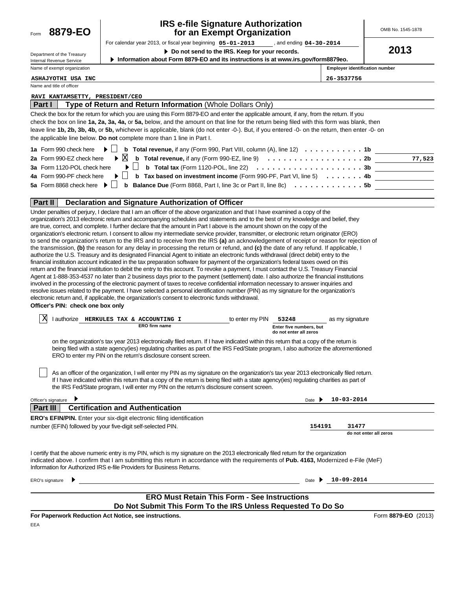

## **IRS e-file Signature Authorization for an Exempt Organization**

For calendar year 2013, or fiscal year beginning  $05 - 01 - 2013$ **05-01-2013 04-30-2014** OMB No. 1545-1878

**2013**

| Department of the Treasury  |  |  |  |  |
|-----------------------------|--|--|--|--|
| Internal Revenue Service    |  |  |  |  |
| Name of exempt organization |  |  |  |  |

**Do not send to the IRS. Keep for your records.**

**Information about Form 8879-EO and its instructions is at www.irs.gov/form8879eo.**

**Employer identification number**

**ASHAJYOTHI USA INC 26-3537756**

Name and title of officer

#### **RAVI KANTAMSETTY, PRESIDENT/CEO**

| Part I | Type of Return and Return Information (Whole Dollars Only)                                                                                          |        |
|--------|-----------------------------------------------------------------------------------------------------------------------------------------------------|--------|
|        | Check the box for the return for which you are using this Form 8879-EO and enter the applicable amount, if any, from the return. If you             |        |
|        | check the box on line 1a, 2a, 3a, 4a, or 5a, below, and the amount on that line for the return being filed with this form was blank, then           |        |
|        | leave line 1b, 2b, 3b, 4b, or 5b, whichever is applicable, blank (do not enter -0-). But, if you entered -0- on the return, then enter -0- on       |        |
|        | the applicable line below. Do not complete more than 1 line in Part I.                                                                              |        |
|        | 1a Form 990 check here<br><b>b</b> Total revenue, if any (Form 990, Part VIII, column (A), line 12) $\ldots \ldots \ldots \ldots$                   |        |
|        | $\triangleright$ X<br><b>b</b> Total revenue, if any (Form 990-EZ, line 9) $\ldots \ldots \ldots \ldots \ldots \ldots$<br>2a Form 990-EZ check here | 77,523 |
|        | <b>b</b> Total tax (Form 1120-POL, line 22) $\ldots \ldots \ldots \ldots \ldots \ldots \ldots \ldots 3b$<br>3a Form 1120-POL check here             |        |
|        | <b>b</b> Tax based on investment income (Form 990-PF, Part VI, line 5) $\ldots \ldots$<br>4a Form 990-PF check here                                 |        |
|        | 5a Form 8868 check here ▶<br><b>Balance Due</b> (Form 8868, Part I, line 3c or Part II, line 8c) 5b<br>b                                            |        |

#### **Part II Declaration and Signature Authorization of Officer**

| Under penalties of perjury, I declare that I am an officer of the above organization and that I have examined a copy of the               |
|-------------------------------------------------------------------------------------------------------------------------------------------|
| organization's 2013 electronic return and accompanying schedules and statements and to the best of my knowledge and belief, they          |
| are true, correct, and complete. I further declare that the amount in Part I above is the amount shown on the copy of the                 |
| organization's electronic return. I consent to allow my intermediate service provider, transmitter, or electronic return originator (ERO) |
| to send the organization's return to the IRS and to receive from the IRS (a) an acknowledgement of receipt or reason for rejection of     |
| the transmission, (b) the reason for any delay in processing the return or refund, and (c) the date of any refund. If applicable, I       |
| authorize the U.S. Treasury and its designated Financial Agent to initiate an electronic funds withdrawal (direct debit) entry to the     |
| financial institution account indicated in the tax preparation software for payment of the organization's federal taxes owed on this      |
| return and the financial institution to debit the entry to this account. To revoke a payment, I must contact the U.S. Treasury Financial  |
| Agent at 1-888-353-4537 no later than 2 business days prior to the payment (settlement) date. I also authorize the financial institutions |
| involved in the processing of the electronic payment of taxes to receive confidential information necessary to answer inquiries and       |
| resolve issues related to the payment. I have selected a personal identification number (PIN) as my signature for the organization's      |
| electronic return and, if applicable, the organization's consent to electronic funds withdrawal.                                          |
| Officer's PIN: check one box only                                                                                                         |

| Χ | authorize            |  | HERKULES TAX & ACCOUNTING |                         | to enter my PIN | 53248                  | as my signature |
|---|----------------------|--|---------------------------|-------------------------|-----------------|------------------------|-----------------|
|   | <b>ERO firm name</b> |  |                           | Enter five numbers, but |                 |                        |                 |
|   |                      |  |                           |                         |                 | do not enter all zeros |                 |

on the organization's tax year 2013 electronically filed return. If I have indicated within this return that a copy of the return is being filed with a state agency(ies) regulating charities as part of the IRS Fed/State program, I also authorize the aforementioned ERO to enter my PIN on the return's disclosure consent screen.

As an officer of the organization, I will enter my PIN as my signature on the organization's tax year 2013 electronically filed return. If I have indicated within this return that a copy of the return is being filed with a state agency(ies) regulating charities as part of the IRS Fed/State program, I will enter my PIN on the return's disclosure consent screen.

| Officer's signature                                                                                                                                                                                                                                                                                                                                    | $10 - 03 - 2014$<br>Date I              |
|--------------------------------------------------------------------------------------------------------------------------------------------------------------------------------------------------------------------------------------------------------------------------------------------------------------------------------------------------------|-----------------------------------------|
| Part III<br><b>Certification and Authentication</b>                                                                                                                                                                                                                                                                                                    |                                         |
| <b>ERO's EFIN/PIN.</b> Enter your six-digit electronic filing identification                                                                                                                                                                                                                                                                           |                                         |
| number (EFIN) followed by your five-digit self-selected PIN.                                                                                                                                                                                                                                                                                           | 154191<br>31477                         |
|                                                                                                                                                                                                                                                                                                                                                        | do not enter all zeros                  |
| I certify that the above numeric entry is my PIN, which is my signature on the 2013 electronically filed return for the organization<br>indicated above. I confirm that I am submitting this return in accordance with the requirements of Pub. 4163, Modernized e-File (MeF)<br>Information for Authorized IRS e-file Providers for Business Returns. |                                         |
| ERO's signature                                                                                                                                                                                                                                                                                                                                        | $10 - 09 - 2014$<br>Date $\overline{ }$ |
|                                                                                                                                                                                                                                                                                                                                                        |                                         |
| <b>ERO Must Retain This Form - See Instructions</b>                                                                                                                                                                                                                                                                                                    |                                         |
| Do Not Submit This Form To the IRS Unless Requested To Do So                                                                                                                                                                                                                                                                                           |                                         |

**For Paperwork Reduction Act Notice, see instructions.**

Form **8879-EO** (2013)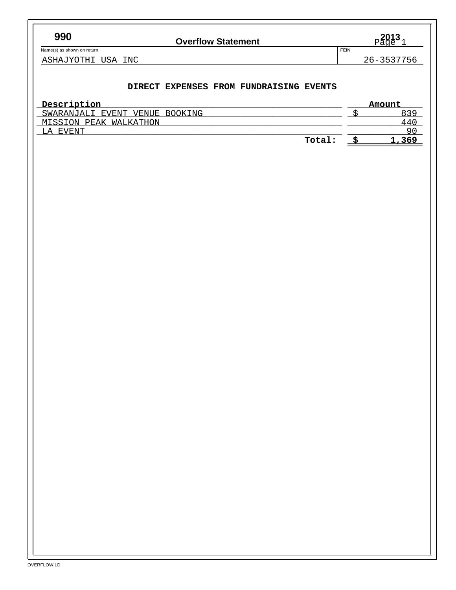$Name(s)$  as shown on return

# **990 2013 2013 2014 2015 2015 2015 2015 2015 2015 2015 2015 2015 2015 2015 2015 2015 2015 2015 2015 2015 2015 2015 2015 2015 2015 2015 2015 2015 2015 2015 2015**

 $_{\text{Page}}^{2013}$ 

ASHAJYOTHI USA INC 26-3537756

## **DIRECT EXPENSES FROM FUNDRAISING EVENTS**

| Description                       | Amount |
|-----------------------------------|--------|
| SWARANJALI EVENT<br>VENUE BOOKING | 839    |
| MISSION PEAK WALKATHON            | 44 C   |
| EVENT<br>г. д                     | 90     |
| Total:                            | 1,369  |
|                                   |        |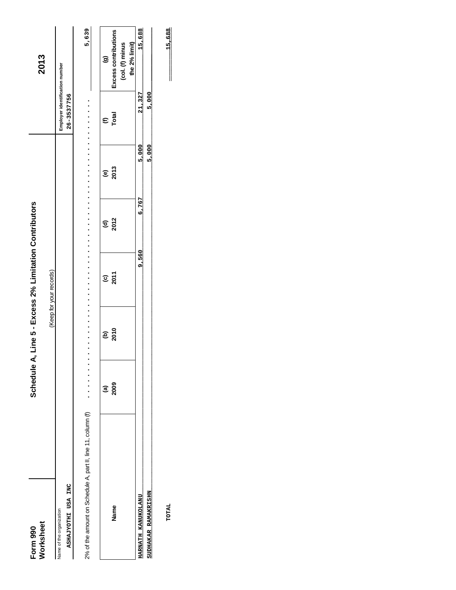| Form 990                  | Schedule |      | A, Line 5 - Excess 2% Limitation Contributors |                        |                        |                                |                                                          |
|---------------------------|----------|------|-----------------------------------------------|------------------------|------------------------|--------------------------------|----------------------------------------------------------|
| Worksheet                 |          |      | (Keep for your records)                       |                        |                        |                                | 2013                                                     |
| Name of the organization  |          |      |                                               |                        |                        | Employer identification number |                                                          |
| ASHAJYOTHI USA INC        |          |      |                                               |                        |                        | 26-3537756                     |                                                          |
|                           | ම        | ê    | $\widehat{\mathbf{e}}$                        | $\widehat{\mathbf{c}}$ | $\widehat{\mathbf{e}}$ | $\epsilon$                     | $\widehat{\mathbf{e}}$                                   |
| Name                      | 2009     | 2010 | 2011                                          | 2012                   | 2013                   | Total                          | Excess contributions<br>the 2% limit)<br>(col. (f) minus |
| <b>HARNATH KANUKOLANU</b> |          |      | 9,560                                         | 6,767                  | 5,000                  | 21,327                         | 15,688                                                   |
| SUDHAKAR RAMAKRISHN       |          |      |                                               |                        | 5,000                  | 5,000                          |                                                          |
|                           |          |      |                                               |                        |                        |                                |                                                          |

TOTAL

 $\frac{15,688}{2}$  $\frac{15,688}{\sqrt{25}}$ **TOTAL 15,688**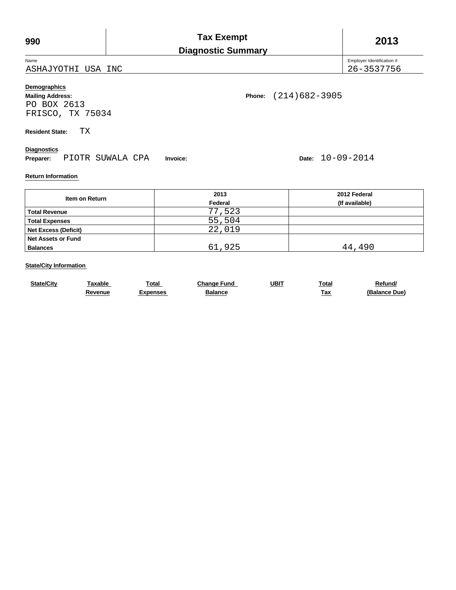| 990                                                                                                       |  |  | <b>Tax Exempt</b><br><b>Diagnostic Summary</b> |  | 2013                                    |
|-----------------------------------------------------------------------------------------------------------|--|--|------------------------------------------------|--|-----------------------------------------|
| Name<br>ASHAJYOTHI USA INC                                                                                |  |  |                                                |  | Employer Identification #<br>26-3537756 |
| Demographics<br>$(214)682 - 3905$<br>Phone:<br><b>Mailing Address:</b><br>PO BOX 2613<br>FRISCO, TX 75034 |  |  |                                                |  |                                         |
| ТX<br><b>Resident State:</b>                                                                              |  |  |                                                |  |                                         |
| <b>Diagnostics</b><br>Date: $10-09-2014$<br>PIOTR SUWALA CPA<br>Preparer:<br>Invoice:                     |  |  |                                                |  |                                         |
| <b>Return Information</b>                                                                                 |  |  |                                                |  |                                         |

|                             | 2013    | 2012 Federal   |
|-----------------------------|---------|----------------|
| Item on Return              | Federal | (If available) |
| <b>Total Revenue</b>        | 77,523  |                |
| <b>Total Expenses</b>       | 55,504  |                |
| <b>Net Excess (Deficit)</b> | 22,019  |                |
| <b>Net Assets or Fund</b>   |         |                |
| <b>Balances</b>             | 61,925  | 44,490         |

### **State/City Information**

| <b>State/City</b> | <b>Faxable</b> | ™otal    | Change Fund | UBIT | Total | <b>Refund/</b> |
|-------------------|----------------|----------|-------------|------|-------|----------------|
|                   | .∢evenue       | Expenses | Balance     |      | Гах   | (Balance Due)  |